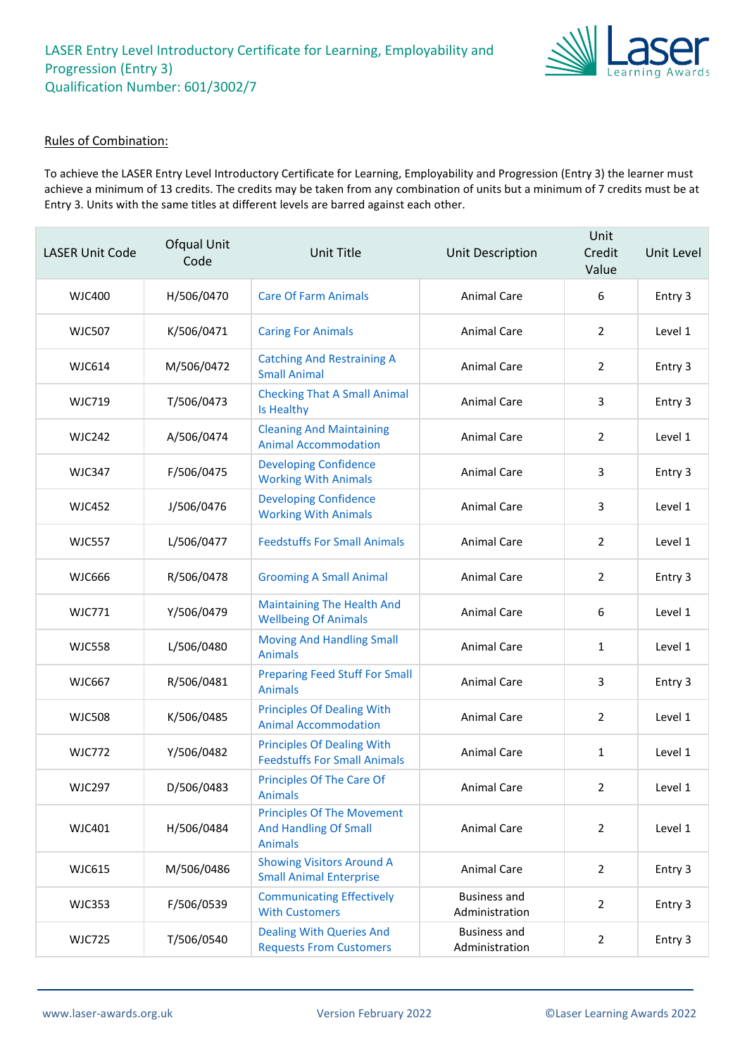

#### Rules of Combination:

To achieve the LASER Entry Level Introductory Certificate for Learning, Employability and Progression (Entry 3) the learner must achieve a minimum of 13 credits. The credits may be taken from any combination of units but a minimum of 7 credits must be at Entry 3. Units with the same titles at different levels are barred against each other.

| <b>LASER Unit Code</b> | Ofqual Unit<br>Code | Unit Title                                                                          | Unit Description                      | Unit<br>Credit<br>Value | Unit Level |
|------------------------|---------------------|-------------------------------------------------------------------------------------|---------------------------------------|-------------------------|------------|
| <b>WJC400</b>          | H/506/0470          | <b>Care Of Farm Animals</b>                                                         | Animal Care                           | 6                       | Entry 3    |
| <b>WJC507</b>          | K/506/0471          | <b>Caring For Animals</b>                                                           | <b>Animal Care</b>                    | $\overline{2}$          | Level 1    |
| <b>WJC614</b>          | M/506/0472          | <b>Catching And Restraining A</b><br><b>Small Animal</b>                            | Animal Care                           | 2                       | Entry 3    |
| <b>WJC719</b>          | T/506/0473          | <b>Checking That A Small Animal</b><br>Is Healthy                                   | <b>Animal Care</b>                    | 3                       | Entry 3    |
| <b>WJC242</b>          | A/506/0474          | <b>Cleaning And Maintaining</b><br><b>Animal Accommodation</b>                      | <b>Animal Care</b>                    | $\overline{2}$          | Level 1    |
| <b>WJC347</b>          | F/506/0475          | <b>Developing Confidence</b><br><b>Working With Animals</b>                         | Animal Care                           | 3                       | Entry 3    |
| <b>WJC452</b>          | J/506/0476          | <b>Developing Confidence</b><br><b>Working With Animals</b>                         | <b>Animal Care</b>                    | 3                       | Level 1    |
| <b>WJC557</b>          | L/506/0477          | <b>Feedstuffs For Small Animals</b>                                                 | <b>Animal Care</b>                    | $\overline{2}$          | Level 1    |
| <b>WJC666</b>          | R/506/0478          | <b>Grooming A Small Animal</b>                                                      | Animal Care                           | $\overline{2}$          | Entry 3    |
| <b>WJC771</b>          | Y/506/0479          | <b>Maintaining The Health And</b><br><b>Wellbeing Of Animals</b>                    | <b>Animal Care</b>                    | 6                       | Level 1    |
| <b>WJC558</b>          | L/506/0480          | <b>Moving And Handling Small</b><br><b>Animals</b>                                  | <b>Animal Care</b>                    | $\mathbf{1}$            | Level 1    |
| <b>WJC667</b>          | R/506/0481          | <b>Preparing Feed Stuff For Small</b><br><b>Animals</b>                             | Animal Care                           | 3                       | Entry 3    |
| <b>WJC508</b>          | K/506/0485          | <b>Principles Of Dealing With</b><br><b>Animal Accommodation</b>                    | Animal Care                           | $\overline{2}$          | Level 1    |
| <b>WJC772</b>          | Y/506/0482          | <b>Principles Of Dealing With</b><br><b>Feedstuffs For Small Animals</b>            | Animal Care                           | 1                       | Level 1    |
| <b>WJC297</b>          | D/506/0483          | Principles Of The Care Of<br><b>Animals</b>                                         | Animal Care                           | $\mathcal{P}$           | Level 1    |
| WJC401                 | H/506/0484          | <b>Principles Of The Movement</b><br><b>And Handling Of Small</b><br><b>Animals</b> | <b>Animal Care</b>                    | $\overline{2}$          | Level 1    |
| WJC615                 | M/506/0486          | <b>Showing Visitors Around A</b><br><b>Small Animal Enterprise</b>                  | <b>Animal Care</b>                    | $\overline{2}$          | Entry 3    |
| <b>WJC353</b>          | F/506/0539          | <b>Communicating Effectively</b><br><b>With Customers</b>                           | <b>Business and</b><br>Administration | $\overline{2}$          | Entry 3    |
| <b>WJC725</b>          | T/506/0540          | <b>Dealing With Queries And</b><br><b>Requests From Customers</b>                   | <b>Business and</b><br>Administration | $\overline{2}$          | Entry 3    |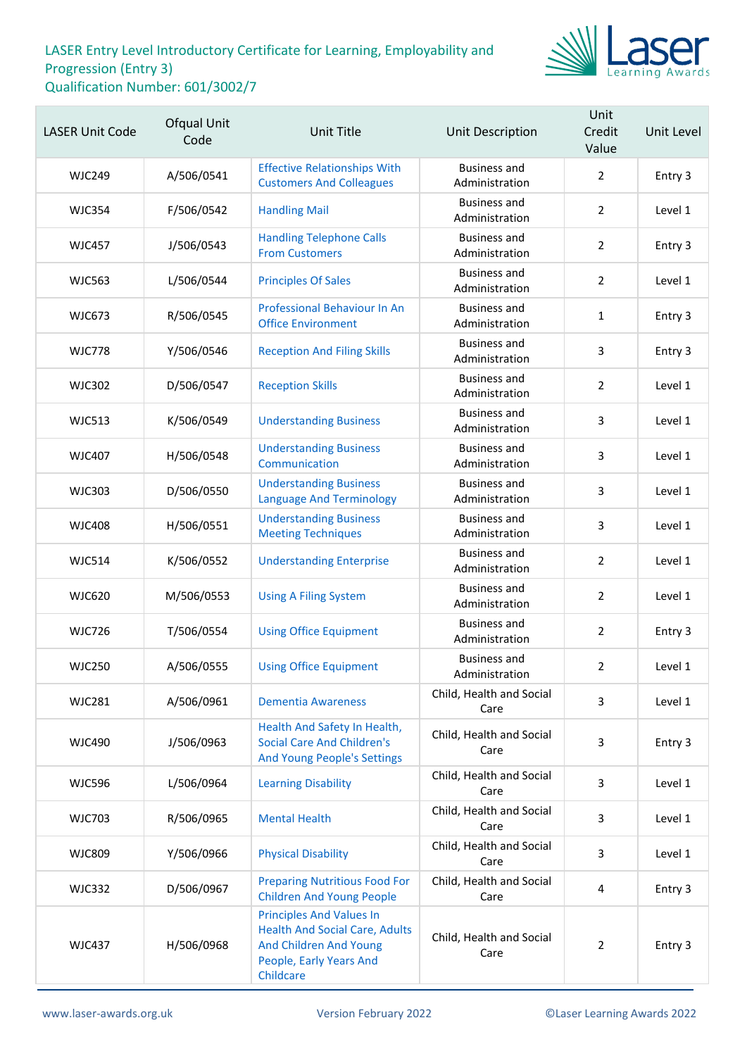

| <b>LASER Unit Code</b> | <b>Ofqual Unit</b><br>Code | <b>Unit Title</b>                                                                                                                          | Unit Description                      | Unit<br>Credit<br>Value | Unit Level |
|------------------------|----------------------------|--------------------------------------------------------------------------------------------------------------------------------------------|---------------------------------------|-------------------------|------------|
| <b>WJC249</b>          | A/506/0541                 | <b>Effective Relationships With</b><br><b>Customers And Colleagues</b>                                                                     | <b>Business and</b><br>Administration | $\overline{2}$          | Entry 3    |
| <b>WJC354</b>          | F/506/0542                 | <b>Handling Mail</b>                                                                                                                       | <b>Business and</b><br>Administration | $\overline{2}$          | Level 1    |
| <b>WJC457</b>          | J/506/0543                 | <b>Handling Telephone Calls</b><br><b>From Customers</b>                                                                                   | <b>Business and</b><br>Administration | $\overline{2}$          | Entry 3    |
| <b>WJC563</b>          | L/506/0544                 | <b>Principles Of Sales</b>                                                                                                                 | <b>Business and</b><br>Administration | $\overline{2}$          | Level 1    |
| <b>WJC673</b>          | R/506/0545                 | <b>Professional Behaviour In An</b><br><b>Office Environment</b>                                                                           | <b>Business and</b><br>Administration | $\mathbf{1}$            | Entry 3    |
| <b>WJC778</b>          | Y/506/0546                 | <b>Reception And Filing Skills</b>                                                                                                         | <b>Business and</b><br>Administration | 3                       | Entry 3    |
| <b>WJC302</b>          | D/506/0547                 | <b>Reception Skills</b>                                                                                                                    | <b>Business and</b><br>Administration | $\overline{2}$          | Level 1    |
| <b>WJC513</b>          | K/506/0549                 | <b>Understanding Business</b>                                                                                                              | <b>Business and</b><br>Administration | 3                       | Level 1    |
| <b>WJC407</b>          | H/506/0548                 | <b>Understanding Business</b><br>Communication                                                                                             | <b>Business and</b><br>Administration | 3                       | Level 1    |
| <b>WJC303</b>          | D/506/0550                 | <b>Understanding Business</b><br><b>Language And Terminology</b>                                                                           | <b>Business and</b><br>Administration | 3                       | Level 1    |
| <b>WJC408</b>          | H/506/0551                 | <b>Understanding Business</b><br><b>Meeting Techniques</b>                                                                                 | <b>Business and</b><br>Administration | 3                       | Level 1    |
| <b>WJC514</b>          | K/506/0552                 | <b>Understanding Enterprise</b>                                                                                                            | <b>Business and</b><br>Administration | $\overline{2}$          | Level 1    |
| <b>WJC620</b>          | M/506/0553                 | <b>Using A Filing System</b>                                                                                                               | <b>Business and</b><br>Administration | $\overline{2}$          | Level 1    |
| <b>WJC726</b>          | T/506/0554                 | <b>Using Office Equipment</b>                                                                                                              | <b>Business and</b><br>Administration | $\overline{2}$          | Entry 3    |
| <b>WJC250</b>          | A/506/0555                 | <b>Using Office Equipment</b>                                                                                                              | Business and<br>Administration        | $\overline{2}$          | Level 1    |
| <b>WJC281</b>          | A/506/0961                 | <b>Dementia Awareness</b>                                                                                                                  | Child, Health and Social<br>Care      | 3                       | Level 1    |
| <b>WJC490</b>          | J/506/0963                 | Health And Safety In Health,<br><b>Social Care And Children's</b><br><b>And Young People's Settings</b>                                    | Child, Health and Social<br>Care      | 3                       | Entry 3    |
| <b>WJC596</b>          | L/506/0964                 | <b>Learning Disability</b>                                                                                                                 | Child, Health and Social<br>Care      | 3                       | Level 1    |
| <b>WJC703</b>          | R/506/0965                 | <b>Mental Health</b>                                                                                                                       | Child, Health and Social<br>Care      | $\overline{3}$          | Level 1    |
| <b>WJC809</b>          | Y/506/0966                 | <b>Physical Disability</b>                                                                                                                 | Child, Health and Social<br>Care      | 3                       | Level 1    |
| <b>WJC332</b>          | D/506/0967                 | <b>Preparing Nutritious Food For</b><br><b>Children And Young People</b>                                                                   | Child, Health and Social<br>Care      | 4                       | Entry 3    |
| <b>WJC437</b>          | H/506/0968                 | <b>Principles And Values In</b><br><b>Health And Social Care, Adults</b><br>And Children And Young<br>People, Early Years And<br>Childcare | Child, Health and Social<br>Care      | $\overline{2}$          | Entry 3    |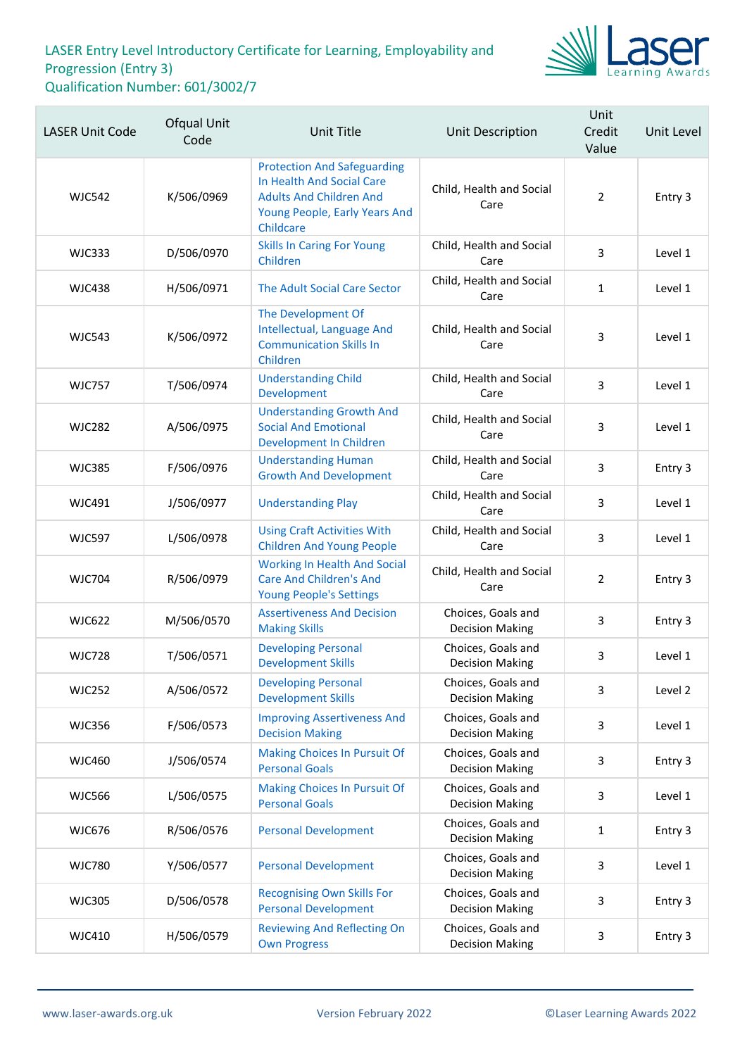

| <b>LASER Unit Code</b> | Ofqual Unit<br>Code | Unit Title                                                                                                                                      | <b>Unit Description</b>                      | Unit<br>Credit<br>Value | Unit Level |
|------------------------|---------------------|-------------------------------------------------------------------------------------------------------------------------------------------------|----------------------------------------------|-------------------------|------------|
| <b>WJC542</b>          | K/506/0969          | <b>Protection And Safeguarding</b><br>In Health And Social Care<br><b>Adults And Children And</b><br>Young People, Early Years And<br>Childcare | Child, Health and Social<br>Care             | $\overline{2}$          | Entry 3    |
| <b>WJC333</b>          | D/506/0970          | <b>Skills In Caring For Young</b><br>Children                                                                                                   | Child, Health and Social<br>Care             | 3                       | Level 1    |
| <b>WJC438</b>          | H/506/0971          | The Adult Social Care Sector                                                                                                                    | Child, Health and Social<br>Care             | $\mathbf{1}$            | Level 1    |
| <b>WJC543</b>          | K/506/0972          | The Development Of<br>Intellectual, Language And<br><b>Communication Skills In</b><br>Children                                                  | Child, Health and Social<br>Care             | 3                       | Level 1    |
| <b>WJC757</b>          | T/506/0974          | <b>Understanding Child</b><br>Development                                                                                                       | Child, Health and Social<br>Care             | 3                       | Level 1    |
| <b>WJC282</b>          | A/506/0975          | <b>Understanding Growth And</b><br><b>Social And Emotional</b><br>Development In Children                                                       | Child, Health and Social<br>Care             | 3                       | Level 1    |
| <b>WJC385</b>          | F/506/0976          | <b>Understanding Human</b><br><b>Growth And Development</b>                                                                                     | Child, Health and Social<br>Care             | 3                       | Entry 3    |
| <b>WJC491</b>          | J/506/0977          | <b>Understanding Play</b>                                                                                                                       | Child, Health and Social<br>Care             | 3                       | Level 1    |
| <b>WJC597</b>          | L/506/0978          | <b>Using Craft Activities With</b><br><b>Children And Young People</b>                                                                          | Child, Health and Social<br>Care             | 3                       | Level 1    |
| <b>WJC704</b>          | R/506/0979          | <b>Working In Health And Social</b><br><b>Care And Children's And</b><br><b>Young People's Settings</b>                                         | Child, Health and Social<br>Care             | $\overline{2}$          | Entry 3    |
| <b>WJC622</b>          | M/506/0570          | <b>Assertiveness And Decision</b><br><b>Making Skills</b>                                                                                       | Choices, Goals and<br><b>Decision Making</b> | 3                       | Entry 3    |
| <b>WJC728</b>          | T/506/0571          | <b>Developing Personal</b><br><b>Development Skills</b>                                                                                         | Choices, Goals and<br><b>Decision Making</b> | 3                       | Level 1    |
| <b>WJC252</b>          | A/506/0572          | <b>Developing Personal</b><br><b>Development Skills</b>                                                                                         | Choices, Goals and<br><b>Decision Making</b> | 3                       | Level 2    |
| <b>WJC356</b>          | F/506/0573          | <b>Improving Assertiveness And</b><br><b>Decision Making</b>                                                                                    | Choices, Goals and<br><b>Decision Making</b> | 3                       | Level 1    |
| <b>WJC460</b>          | J/506/0574          | <b>Making Choices In Pursuit Of</b><br><b>Personal Goals</b>                                                                                    | Choices, Goals and<br><b>Decision Making</b> | 3                       | Entry 3    |
| <b>WJC566</b>          | L/506/0575          | <b>Making Choices In Pursuit Of</b><br><b>Personal Goals</b>                                                                                    | Choices, Goals and<br><b>Decision Making</b> | 3                       | Level 1    |
| <b>WJC676</b>          | R/506/0576          | <b>Personal Development</b>                                                                                                                     | Choices, Goals and<br><b>Decision Making</b> | $\mathbf 1$             | Entry 3    |
| <b>WJC780</b>          | Y/506/0577          | <b>Personal Development</b>                                                                                                                     | Choices, Goals and<br><b>Decision Making</b> | 3                       | Level 1    |
| <b>WJC305</b>          | D/506/0578          | <b>Recognising Own Skills For</b><br><b>Personal Development</b>                                                                                | Choices, Goals and<br><b>Decision Making</b> | 3                       | Entry 3    |
| <b>WJC410</b>          | H/506/0579          | <b>Reviewing And Reflecting On</b><br><b>Own Progress</b>                                                                                       | Choices, Goals and<br><b>Decision Making</b> | 3                       | Entry 3    |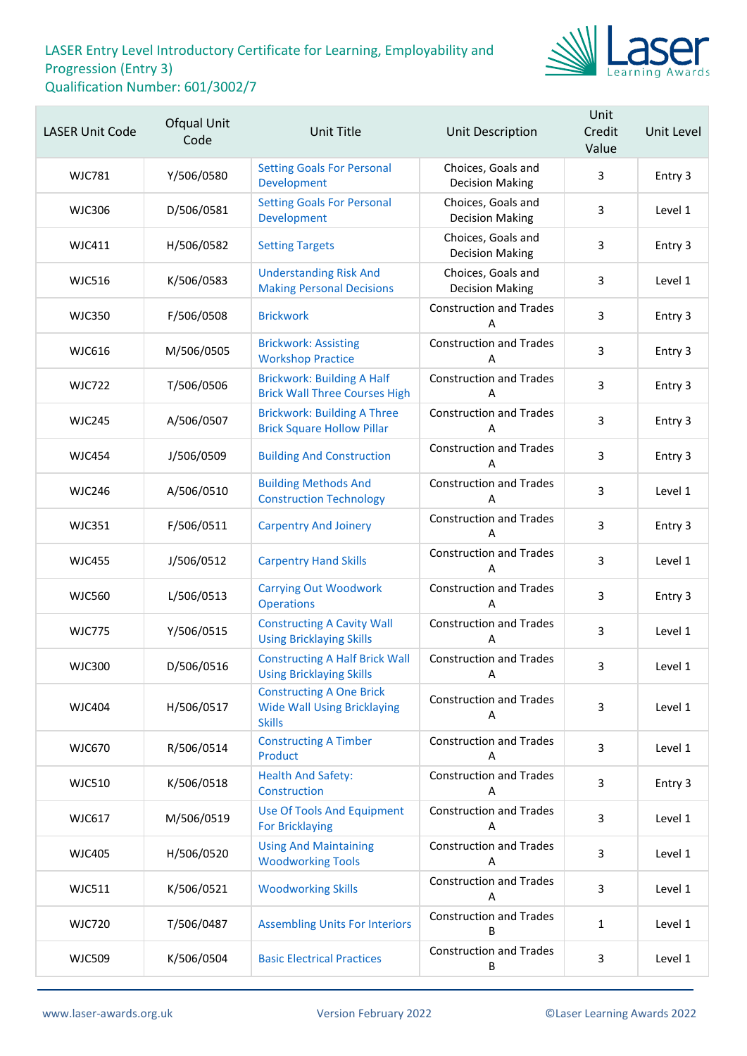

| <b>LASER Unit Code</b> | Ofqual Unit<br>Code | <b>Unit Title</b>                                                                      | Unit Description                             | Unit<br>Credit<br>Value | Unit Level |
|------------------------|---------------------|----------------------------------------------------------------------------------------|----------------------------------------------|-------------------------|------------|
| <b>WJC781</b>          | Y/506/0580          | <b>Setting Goals For Personal</b><br>Development                                       | Choices, Goals and<br><b>Decision Making</b> | 3                       | Entry 3    |
| <b>WJC306</b>          | D/506/0581          | <b>Setting Goals For Personal</b><br>Development                                       | Choices, Goals and<br><b>Decision Making</b> | 3                       | Level 1    |
| <b>WJC411</b>          | H/506/0582          | <b>Setting Targets</b>                                                                 | Choices, Goals and<br><b>Decision Making</b> | 3                       | Entry 3    |
| <b>WJC516</b>          | K/506/0583          | <b>Understanding Risk And</b><br><b>Making Personal Decisions</b>                      | Choices, Goals and<br><b>Decision Making</b> | 3                       | Level 1    |
| <b>WJC350</b>          | F/506/0508          | <b>Brickwork</b>                                                                       | <b>Construction and Trades</b><br>Α          | 3                       | Entry 3    |
| <b>WJC616</b>          | M/506/0505          | <b>Brickwork: Assisting</b><br><b>Workshop Practice</b>                                | <b>Construction and Trades</b><br>А          | 3                       | Entry 3    |
| <b>WJC722</b>          | T/506/0506          | <b>Brickwork: Building A Half</b><br><b>Brick Wall Three Courses High</b>              | <b>Construction and Trades</b><br>А          | 3                       | Entry 3    |
| <b>WJC245</b>          | A/506/0507          | <b>Brickwork: Building A Three</b><br><b>Brick Square Hollow Pillar</b>                | <b>Construction and Trades</b><br>Α          | $\overline{3}$          | Entry 3    |
| <b>WJC454</b>          | J/506/0509          | <b>Building And Construction</b>                                                       | <b>Construction and Trades</b><br>А          | 3                       | Entry 3    |
| <b>WJC246</b>          | A/506/0510          | <b>Building Methods And</b><br><b>Construction Technology</b>                          | <b>Construction and Trades</b><br>А          | 3                       | Level 1    |
| <b>WJC351</b>          | F/506/0511          | <b>Carpentry And Joinery</b>                                                           | <b>Construction and Trades</b><br>Α          | $\overline{3}$          | Entry 3    |
| <b>WJC455</b>          | J/506/0512          | <b>Carpentry Hand Skills</b>                                                           | <b>Construction and Trades</b><br>A          | 3                       | Level 1    |
| <b>WJC560</b>          | L/506/0513          | <b>Carrying Out Woodwork</b><br><b>Operations</b>                                      | <b>Construction and Trades</b><br>А          | 3                       | Entry 3    |
| <b>WJC775</b>          | Y/506/0515          | <b>Constructing A Cavity Wall</b><br><b>Using Bricklaying Skills</b>                   | <b>Construction and Trades</b><br>Α          | $\overline{3}$          | Level 1    |
| <b>WJC300</b>          | D/506/0516          | <b>Constructing A Half Brick Wall</b><br><b>Using Bricklaying Skills</b>               | <b>Construction and Trades</b><br><b>A</b>   | 3                       | Level 1    |
| <b>WJC404</b>          | H/506/0517          | <b>Constructing A One Brick</b><br><b>Wide Wall Using Bricklaying</b><br><b>Skills</b> | <b>Construction and Trades</b><br>Α          | 3                       | Level 1    |
| <b>WJC670</b>          | R/506/0514          | <b>Constructing A Timber</b><br>Product                                                | <b>Construction and Trades</b><br>Α          | 3                       | Level 1    |
| <b>WJC510</b>          | K/506/0518          | <b>Health And Safety:</b><br>Construction                                              | <b>Construction and Trades</b><br>A          | 3                       | Entry 3    |
| <b>WJC617</b>          | M/506/0519          | <b>Use Of Tools And Equipment</b><br><b>For Bricklaying</b>                            | <b>Construction and Trades</b><br>Α          | 3                       | Level 1    |
| <b>WJC405</b>          | H/506/0520          | <b>Using And Maintaining</b><br><b>Woodworking Tools</b>                               | <b>Construction and Trades</b><br>A          | 3                       | Level 1    |
| <b>WJC511</b>          | K/506/0521          | <b>Woodworking Skills</b>                                                              | <b>Construction and Trades</b><br>A          | 3                       | Level 1    |
| <b>WJC720</b>          | T/506/0487          | <b>Assembling Units For Interiors</b>                                                  | <b>Construction and Trades</b><br>В          | $\mathbf{1}$            | Level 1    |
| <b>WJC509</b>          | K/506/0504          | <b>Basic Electrical Practices</b>                                                      | <b>Construction and Trades</b><br>В          | $\mathbf{3}$            | Level 1    |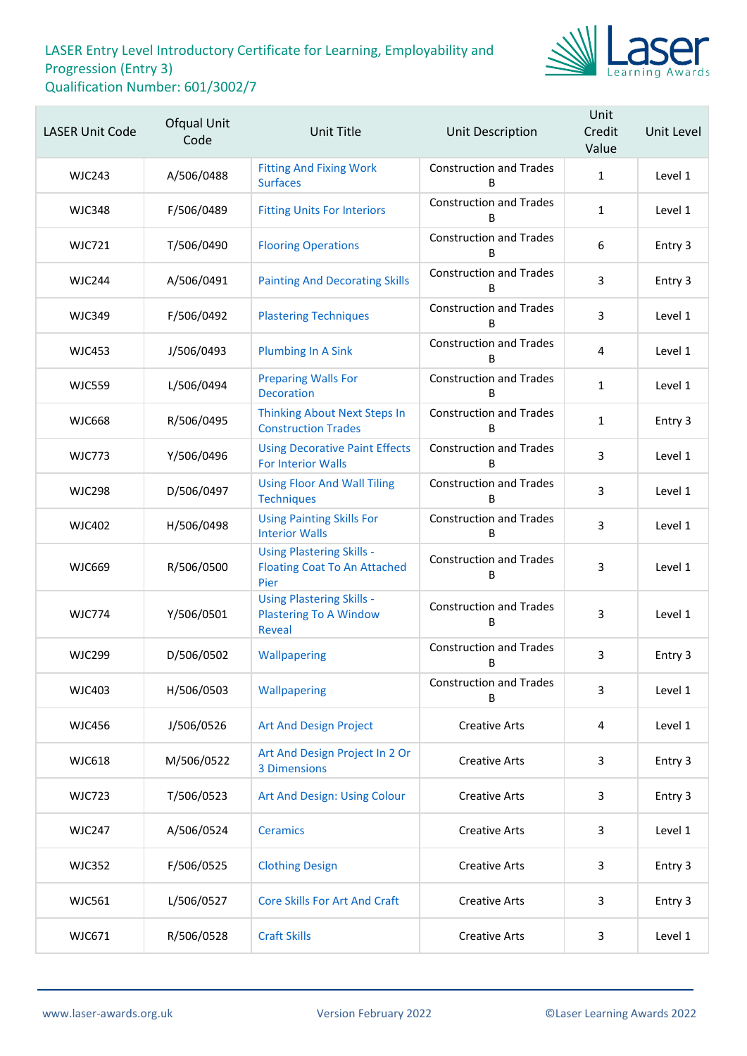

| <b>LASER Unit Code</b> | Ofqual Unit<br>Code | <b>Unit Title</b>                                                               | Unit Description                    | Unit<br>Credit<br>Value | Unit Level |
|------------------------|---------------------|---------------------------------------------------------------------------------|-------------------------------------|-------------------------|------------|
| <b>WJC243</b>          | A/506/0488          | <b>Fitting And Fixing Work</b><br><b>Surfaces</b>                               | <b>Construction and Trades</b><br>R | $\mathbf{1}$            | Level 1    |
| <b>WJC348</b>          | F/506/0489          | <b>Fitting Units For Interiors</b>                                              | <b>Construction and Trades</b><br>B | $\mathbf{1}$            | Level 1    |
| <b>WJC721</b>          | T/506/0490          | <b>Flooring Operations</b>                                                      | <b>Construction and Trades</b><br>B | 6                       | Entry 3    |
| <b>WJC244</b>          | A/506/0491          | <b>Painting And Decorating Skills</b>                                           | <b>Construction and Trades</b><br>B | 3                       | Entry 3    |
| <b>WJC349</b>          | F/506/0492          | <b>Plastering Techniques</b>                                                    | <b>Construction and Trades</b><br>B | 3                       | Level 1    |
| <b>WJC453</b>          | J/506/0493          | <b>Plumbing In A Sink</b>                                                       | <b>Construction and Trades</b><br>B | 4                       | Level 1    |
| <b>WJC559</b>          | L/506/0494          | <b>Preparing Walls For</b><br><b>Decoration</b>                                 | <b>Construction and Trades</b><br>B | $\mathbf{1}$            | Level 1    |
| <b>WJC668</b>          | R/506/0495          | <b>Thinking About Next Steps In</b><br><b>Construction Trades</b>               | <b>Construction and Trades</b><br>B | $\mathbf{1}$            | Entry 3    |
| <b>WJC773</b>          | Y/506/0496          | <b>Using Decorative Paint Effects</b><br><b>For Interior Walls</b>              | <b>Construction and Trades</b><br>R | 3                       | Level 1    |
| <b>WJC298</b>          | D/506/0497          | <b>Using Floor And Wall Tiling</b><br><b>Techniques</b>                         | <b>Construction and Trades</b><br>B | 3                       | Level 1    |
| <b>WJC402</b>          | H/506/0498          | <b>Using Painting Skills For</b><br><b>Interior Walls</b>                       | <b>Construction and Trades</b><br>B | 3                       | Level 1    |
| <b>WJC669</b>          | R/506/0500          | <b>Using Plastering Skills -</b><br><b>Floating Coat To An Attached</b><br>Pier | <b>Construction and Trades</b><br>В | 3                       | Level 1    |
| <b>WJC774</b>          | Y/506/0501          | <b>Using Plastering Skills -</b><br><b>Plastering To A Window</b><br>Reveal     | <b>Construction and Trades</b><br>В | 3                       | Level 1    |
| <b>WJC299</b>          | D/506/0502          | Wallpapering                                                                    | <b>Construction and Trades</b><br>В | 3                       | Entry 3    |
| <b>WJC403</b>          | H/506/0503          | Wallpapering                                                                    | <b>Construction and Trades</b><br>B | 3                       | Level 1    |
| <b>WJC456</b>          | J/506/0526          | Art And Design Project                                                          | <b>Creative Arts</b>                | 4                       | Level 1    |
| <b>WJC618</b>          | M/506/0522          | Art And Design Project In 2 Or<br><b>3 Dimensions</b>                           | <b>Creative Arts</b>                | 3                       | Entry 3    |
| <b>WJC723</b>          | T/506/0523          | Art And Design: Using Colour                                                    | <b>Creative Arts</b>                | 3                       | Entry 3    |
| <b>WJC247</b>          | A/506/0524          | <b>Ceramics</b>                                                                 | <b>Creative Arts</b>                | 3                       | Level 1    |
| <b>WJC352</b>          | F/506/0525          | <b>Clothing Design</b>                                                          | <b>Creative Arts</b>                | 3                       | Entry 3    |
| <b>WJC561</b>          | L/506/0527          | <b>Core Skills For Art And Craft</b>                                            | <b>Creative Arts</b>                | 3                       | Entry 3    |
| WJC671                 | R/506/0528          | <b>Craft Skills</b>                                                             | <b>Creative Arts</b>                | 3                       | Level 1    |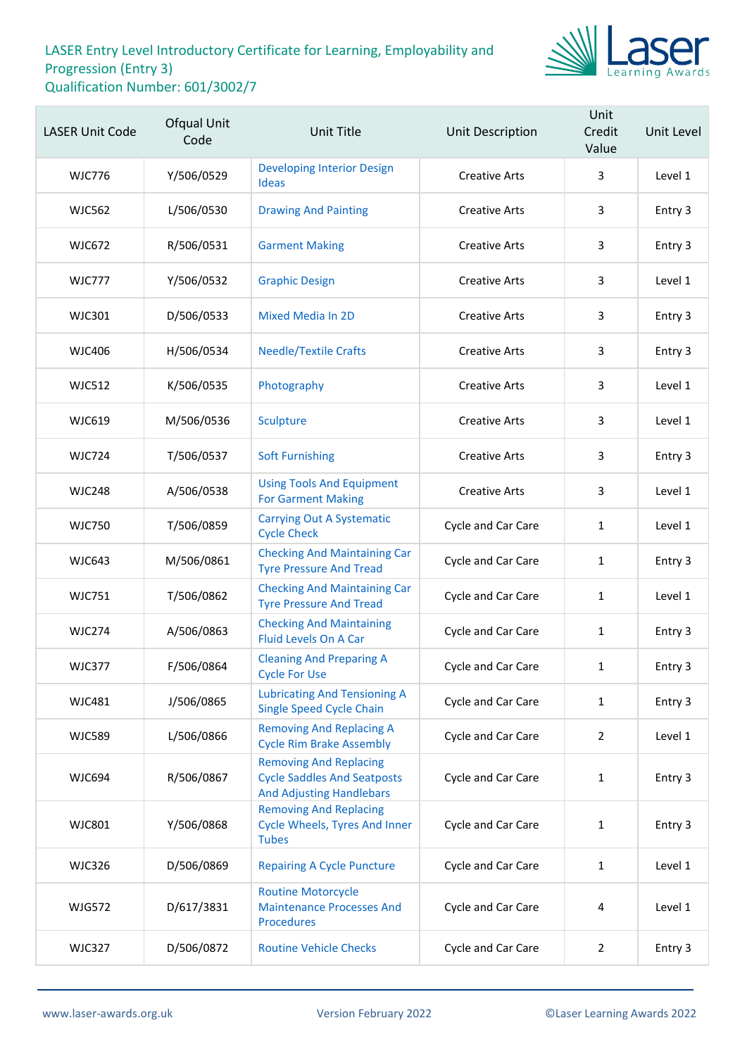

| <b>LASER Unit Code</b> | Ofqual Unit<br>Code | <b>Unit Title</b>                                                                                      | <b>Unit Description</b>   | Unit<br>Credit<br>Value | Unit Level |
|------------------------|---------------------|--------------------------------------------------------------------------------------------------------|---------------------------|-------------------------|------------|
| <b>WJC776</b>          | Y/506/0529          | <b>Developing Interior Design</b><br><b>Ideas</b>                                                      | <b>Creative Arts</b>      | 3                       | Level 1    |
| <b>WJC562</b>          | L/506/0530          | <b>Drawing And Painting</b>                                                                            | <b>Creative Arts</b>      | 3                       | Entry 3    |
| <b>WJC672</b>          | R/506/0531          | <b>Garment Making</b>                                                                                  | <b>Creative Arts</b>      | 3                       | Entry 3    |
| <b>WJC777</b>          | Y/506/0532          | <b>Graphic Design</b>                                                                                  | <b>Creative Arts</b>      | 3                       | Level 1    |
| WJC301                 | D/506/0533          | <b>Mixed Media In 2D</b>                                                                               | <b>Creative Arts</b>      | 3                       | Entry 3    |
| <b>WJC406</b>          | H/506/0534          | <b>Needle/Textile Crafts</b>                                                                           | <b>Creative Arts</b>      | 3                       | Entry 3    |
| <b>WJC512</b>          | K/506/0535          | Photography                                                                                            | <b>Creative Arts</b>      | 3                       | Level 1    |
| <b>WJC619</b>          | M/506/0536          | Sculpture                                                                                              | <b>Creative Arts</b>      | 3                       | Level 1    |
| WJC724                 | T/506/0537          | <b>Soft Furnishing</b>                                                                                 | <b>Creative Arts</b>      | 3                       | Entry 3    |
| <b>WJC248</b>          | A/506/0538          | <b>Using Tools And Equipment</b><br><b>For Garment Making</b>                                          | <b>Creative Arts</b>      | 3                       | Level 1    |
| <b>WJC750</b>          | T/506/0859          | <b>Carrying Out A Systematic</b><br><b>Cycle Check</b>                                                 | Cycle and Car Care        | 1                       | Level 1    |
| <b>WJC643</b>          | M/506/0861          | <b>Checking And Maintaining Car</b><br><b>Tyre Pressure And Tread</b>                                  | Cycle and Car Care        | 1                       | Entry 3    |
| <b>WJC751</b>          | T/506/0862          | <b>Checking And Maintaining Car</b><br><b>Tyre Pressure And Tread</b>                                  | Cycle and Car Care        | $\mathbf{1}$            | Level 1    |
| <b>WJC274</b>          | A/506/0863          | <b>Checking And Maintaining</b><br><b>Fluid Levels On A Car</b>                                        | Cycle and Car Care        | 1                       | Entry 3    |
| <b>WJC377</b>          | F/506/0864          | <b>Cleaning And Preparing A</b><br><b>Cycle For Use</b>                                                | <b>Cycle and Car Care</b> | 1                       | Entry 3    |
| <b>WJC481</b>          | J/506/0865          | <b>Lubricating And Tensioning A</b><br><b>Single Speed Cycle Chain</b>                                 | Cycle and Car Care        | $\mathbf{1}$            | Entry 3    |
| <b>WJC589</b>          | L/506/0866          | <b>Removing And Replacing A</b><br><b>Cycle Rim Brake Assembly</b>                                     | Cycle and Car Care        | $\overline{2}$          | Level 1    |
| <b>WJC694</b>          | R/506/0867          | <b>Removing And Replacing</b><br><b>Cycle Saddles And Seatposts</b><br><b>And Adjusting Handlebars</b> | Cycle and Car Care        | $\mathbf{1}$            | Entry 3    |
| <b>WJC801</b>          | Y/506/0868          | <b>Removing And Replacing</b><br><b>Cycle Wheels, Tyres And Inner</b><br><b>Tubes</b>                  | Cycle and Car Care        | $\mathbf{1}$            | Entry 3    |
| <b>WJC326</b>          | D/506/0869          | <b>Repairing A Cycle Puncture</b>                                                                      | Cycle and Car Care        | $\mathbf{1}$            | Level 1    |
| <b>WJG572</b>          | D/617/3831          | <b>Routine Motorcycle</b><br><b>Maintenance Processes And</b><br><b>Procedures</b>                     | Cycle and Car Care        | 4                       | Level 1    |
| <b>WJC327</b>          | D/506/0872          | <b>Routine Vehicle Checks</b>                                                                          | Cycle and Car Care        | $\overline{2}$          | Entry 3    |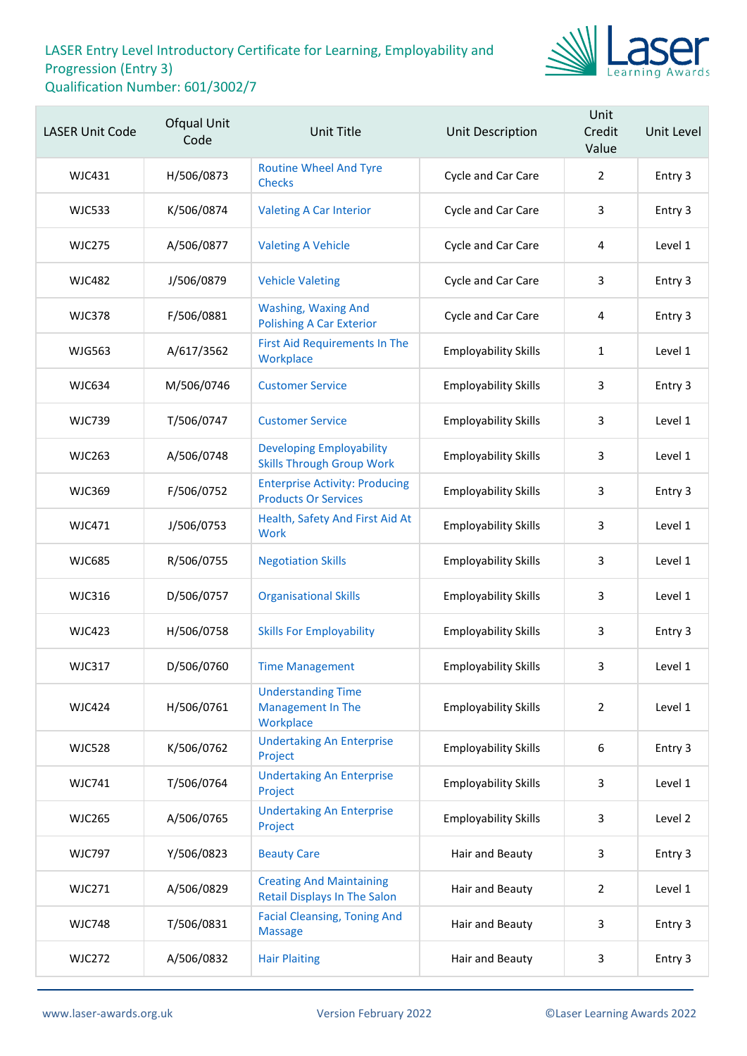

| <b>LASER Unit Code</b> | <b>Ofqual Unit</b><br>Code | Unit Title                                                             | Unit Description            | Unit<br>Credit<br>Value | Unit Level |
|------------------------|----------------------------|------------------------------------------------------------------------|-----------------------------|-------------------------|------------|
| <b>WJC431</b>          | H/506/0873                 | <b>Routine Wheel And Tyre</b><br><b>Checks</b>                         | Cycle and Car Care          | $\overline{2}$          | Entry 3    |
| <b>WJC533</b>          | K/506/0874                 | <b>Valeting A Car Interior</b>                                         | Cycle and Car Care          | 3                       | Entry 3    |
| <b>WJC275</b>          | A/506/0877                 | <b>Valeting A Vehicle</b>                                              | Cycle and Car Care          | 4                       | Level 1    |
| <b>WJC482</b>          | J/506/0879                 | <b>Vehicle Valeting</b>                                                | Cycle and Car Care          | 3                       | Entry 3    |
| <b>WJC378</b>          | F/506/0881                 | <b>Washing, Waxing And</b><br><b>Polishing A Car Exterior</b>          | Cycle and Car Care          | 4                       | Entry 3    |
| <b>WJG563</b>          | A/617/3562                 | <b>First Aid Requirements In The</b><br>Workplace                      | <b>Employability Skills</b> | $\mathbf{1}$            | Level 1    |
| <b>WJC634</b>          | M/506/0746                 | <b>Customer Service</b>                                                | <b>Employability Skills</b> | 3                       | Entry 3    |
| <b>WJC739</b>          | T/506/0747                 | <b>Customer Service</b>                                                | <b>Employability Skills</b> | 3                       | Level 1    |
| <b>WJC263</b>          | A/506/0748                 | <b>Developing Employability</b><br><b>Skills Through Group Work</b>    | <b>Employability Skills</b> | 3                       | Level 1    |
| <b>WJC369</b>          | F/506/0752                 | <b>Enterprise Activity: Producing</b><br><b>Products Or Services</b>   | <b>Employability Skills</b> | 3                       | Entry 3    |
| WJC471                 | J/506/0753                 | Health, Safety And First Aid At<br>Work                                | <b>Employability Skills</b> | 3                       | Level 1    |
| <b>WJC685</b>          | R/506/0755                 | <b>Negotiation Skills</b>                                              | <b>Employability Skills</b> | 3                       | Level 1    |
| <b>WJC316</b>          | D/506/0757                 | <b>Organisational Skills</b>                                           | <b>Employability Skills</b> | 3                       | Level 1    |
| <b>WJC423</b>          | H/506/0758                 | <b>Skills For Employability</b>                                        | <b>Employability Skills</b> | 3                       | Entry 3    |
| <b>WJC317</b>          | D/506/0760                 | <b>Time Management</b>                                                 | <b>Employability Skills</b> | 3                       | Level 1    |
| <b>WJC424</b>          | H/506/0761                 | <b>Understanding Time</b><br>Management In The<br>Workplace            | <b>Employability Skills</b> | $\overline{2}$          | Level 1    |
| <b>WJC528</b>          | K/506/0762                 | <b>Undertaking An Enterprise</b><br>Project                            | <b>Employability Skills</b> | 6                       | Entry 3    |
| <b>WJC741</b>          | T/506/0764                 | <b>Undertaking An Enterprise</b><br>Project                            | <b>Employability Skills</b> | 3                       | Level 1    |
| <b>WJC265</b>          | A/506/0765                 | <b>Undertaking An Enterprise</b><br>Project                            | <b>Employability Skills</b> | 3                       | Level 2    |
| <b>WJC797</b>          | Y/506/0823                 | <b>Beauty Care</b>                                                     | Hair and Beauty             | 3                       | Entry 3    |
| <b>WJC271</b>          | A/506/0829                 | <b>Creating And Maintaining</b><br><b>Retail Displays In The Salon</b> | Hair and Beauty             | $\overline{2}$          | Level 1    |
| <b>WJC748</b>          | T/506/0831                 | <b>Facial Cleansing, Toning And</b><br><b>Massage</b>                  | Hair and Beauty             | 3                       | Entry 3    |
| <b>WJC272</b>          | A/506/0832                 | <b>Hair Plaiting</b>                                                   | Hair and Beauty             | 3                       | Entry 3    |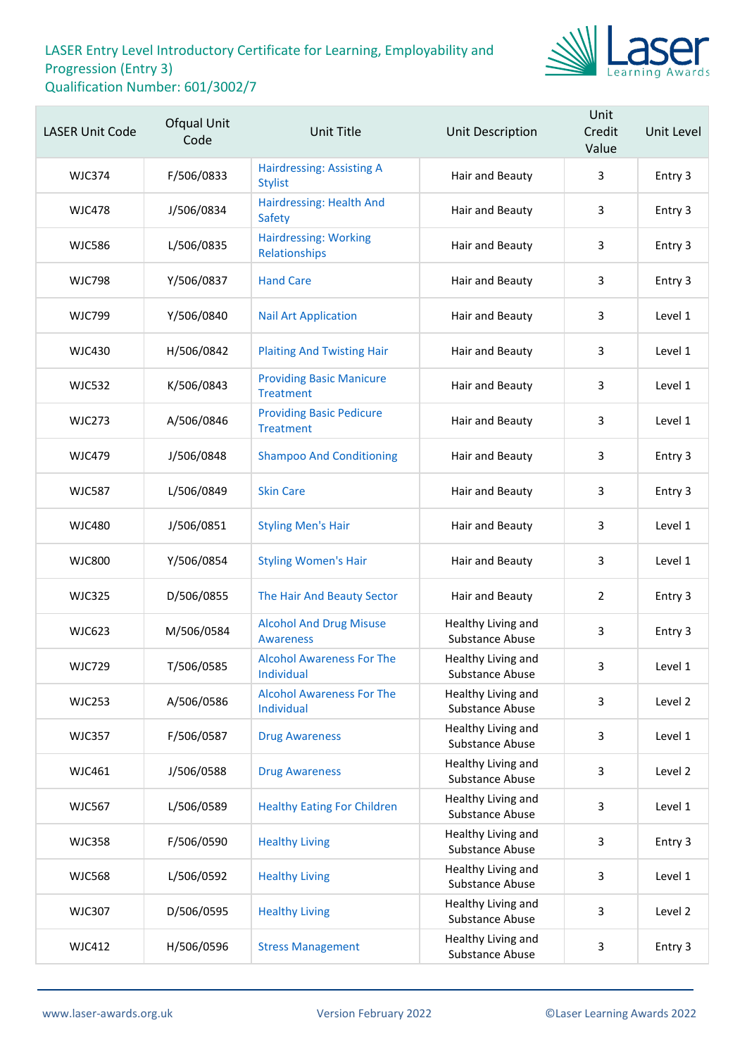

| <b>LASER Unit Code</b> | Ofqual Unit<br>Code | <b>Unit Title</b>                                   | Unit Description                      | Unit<br>Credit<br>Value | Unit Level |
|------------------------|---------------------|-----------------------------------------------------|---------------------------------------|-------------------------|------------|
| <b>WJC374</b>          | F/506/0833          | <b>Hairdressing: Assisting A</b><br><b>Stylist</b>  | Hair and Beauty                       | 3                       | Entry 3    |
| <b>WJC478</b>          | J/506/0834          | Hairdressing: Health And<br><b>Safety</b>           | Hair and Beauty                       | 3                       | Entry 3    |
| <b>WJC586</b>          | L/506/0835          | <b>Hairdressing: Working</b><br>Relationships       | Hair and Beauty                       | 3                       | Entry 3    |
| <b>WJC798</b>          | Y/506/0837          | <b>Hand Care</b>                                    | Hair and Beauty                       | 3                       | Entry 3    |
| <b>WJC799</b>          | Y/506/0840          | <b>Nail Art Application</b>                         | Hair and Beauty                       | 3                       | Level 1    |
| <b>WJC430</b>          | H/506/0842          | <b>Plaiting And Twisting Hair</b>                   | Hair and Beauty                       | 3                       | Level 1    |
| <b>WJC532</b>          | K/506/0843          | <b>Providing Basic Manicure</b><br><b>Treatment</b> | Hair and Beauty                       | 3                       | Level 1    |
| <b>WJC273</b>          | A/506/0846          | <b>Providing Basic Pedicure</b><br><b>Treatment</b> | Hair and Beauty                       | 3                       | Level 1    |
| <b>WJC479</b>          | J/506/0848          | <b>Shampoo And Conditioning</b>                     | Hair and Beauty                       | 3                       | Entry 3    |
| <b>WJC587</b>          | L/506/0849          | <b>Skin Care</b>                                    | Hair and Beauty                       | 3                       | Entry 3    |
| <b>WJC480</b>          | J/506/0851          | <b>Styling Men's Hair</b>                           | Hair and Beauty                       | 3                       | Level 1    |
| <b>WJC800</b>          | Y/506/0854          | <b>Styling Women's Hair</b>                         | Hair and Beauty                       | 3                       | Level 1    |
| <b>WJC325</b>          | D/506/0855          | The Hair And Beauty Sector                          | Hair and Beauty                       | $\overline{2}$          | Entry 3    |
| <b>WJC623</b>          | M/506/0584          | <b>Alcohol And Drug Misuse</b><br>Awareness         | Healthy Living and<br>Substance Abuse | 3                       | Entry 3    |
| <b>WJC729</b>          | T/506/0585          | <b>Alcohol Awareness For The</b><br>Individual      | Healthy Living and<br>Substance Abuse | 3                       | Level 1    |
| <b>WJC253</b>          | A/506/0586          | <b>Alcohol Awareness For The</b><br>Individual      | Healthy Living and<br>Substance Abuse | 3                       | Level 2    |
| <b>WJC357</b>          | F/506/0587          | <b>Drug Awareness</b>                               | Healthy Living and<br>Substance Abuse | 3                       | Level 1    |
| WJC461                 | J/506/0588          | <b>Drug Awareness</b>                               | Healthy Living and<br>Substance Abuse | 3                       | Level 2    |
| <b>WJC567</b>          | L/506/0589          | <b>Healthy Eating For Children</b>                  | Healthy Living and<br>Substance Abuse | 3                       | Level 1    |
| <b>WJC358</b>          | F/506/0590          | <b>Healthy Living</b>                               | Healthy Living and<br>Substance Abuse | 3                       | Entry 3    |
| <b>WJC568</b>          | L/506/0592          | <b>Healthy Living</b>                               | Healthy Living and<br>Substance Abuse | 3                       | Level 1    |
| <b>WJC307</b>          | D/506/0595          | <b>Healthy Living</b>                               | Healthy Living and<br>Substance Abuse | 3                       | Level 2    |
| <b>WJC412</b>          | H/506/0596          | <b>Stress Management</b>                            | Healthy Living and<br>Substance Abuse | 3                       | Entry 3    |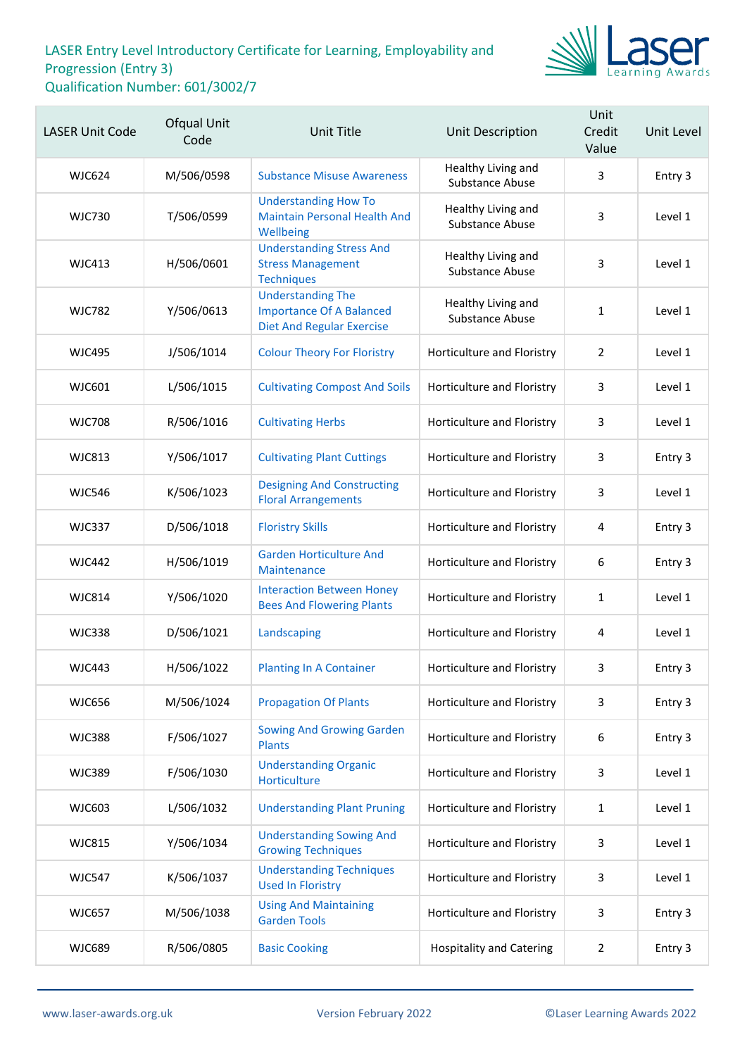

| <b>LASER Unit Code</b> | Ofqual Unit<br>Code | <b>Unit Title</b>                                                                               | Unit Description                      | Unit<br>Credit<br>Value | Unit Level |
|------------------------|---------------------|-------------------------------------------------------------------------------------------------|---------------------------------------|-------------------------|------------|
| <b>WJC624</b>          | M/506/0598          | <b>Substance Misuse Awareness</b>                                                               | Healthy Living and<br>Substance Abuse | 3                       | Entry 3    |
| <b>WJC730</b>          | T/506/0599          | <b>Understanding How To</b><br><b>Maintain Personal Health And</b><br>Wellbeing                 | Healthy Living and<br>Substance Abuse | 3                       | Level 1    |
| <b>WJC413</b>          | H/506/0601          | <b>Understanding Stress And</b><br><b>Stress Management</b><br><b>Techniques</b>                | Healthy Living and<br>Substance Abuse | 3                       | Level 1    |
| <b>WJC782</b>          | Y/506/0613          | <b>Understanding The</b><br><b>Importance Of A Balanced</b><br><b>Diet And Regular Exercise</b> | Healthy Living and<br>Substance Abuse | $\mathbf{1}$            | Level 1    |
| <b>WJC495</b>          | J/506/1014          | <b>Colour Theory For Floristry</b>                                                              | Horticulture and Floristry            | $\overline{2}$          | Level 1    |
| <b>WJC601</b>          | L/506/1015          | <b>Cultivating Compost And Soils</b>                                                            | Horticulture and Floristry            | 3                       | Level 1    |
| <b>WJC708</b>          | R/506/1016          | <b>Cultivating Herbs</b>                                                                        | Horticulture and Floristry            | 3                       | Level 1    |
| <b>WJC813</b>          | Y/506/1017          | <b>Cultivating Plant Cuttings</b>                                                               | Horticulture and Floristry            | 3                       | Entry 3    |
| <b>WJC546</b>          | K/506/1023          | <b>Designing And Constructing</b><br><b>Floral Arrangements</b>                                 | Horticulture and Floristry            | 3                       | Level 1    |
| <b>WJC337</b>          | D/506/1018          | <b>Floristry Skills</b>                                                                         | Horticulture and Floristry            | 4                       | Entry 3    |
| <b>WJC442</b>          | H/506/1019          | <b>Garden Horticulture And</b><br>Maintenance                                                   | Horticulture and Floristry            | 6                       | Entry 3    |
| <b>WJC814</b>          | Y/506/1020          | <b>Interaction Between Honey</b><br><b>Bees And Flowering Plants</b>                            | Horticulture and Floristry            | 1                       | Level 1    |
| <b>WJC338</b>          | D/506/1021          | Landscaping                                                                                     | Horticulture and Floristry            | 4                       | Level 1    |
| WJC443                 | H/506/1022          | <b>Planting In A Container</b>                                                                  | Horticulture and Floristry            | 3                       | Entry 3    |
| <b>WJC656</b>          | M/506/1024          | <b>Propagation Of Plants</b>                                                                    | Horticulture and Floristry            | 3                       | Entry 3    |
| <b>WJC388</b>          | F/506/1027          | <b>Sowing And Growing Garden</b><br><b>Plants</b>                                               | Horticulture and Floristry            | 6                       | Entry 3    |
| <b>WJC389</b>          | F/506/1030          | <b>Understanding Organic</b><br>Horticulture                                                    | Horticulture and Floristry            | 3                       | Level 1    |
| <b>WJC603</b>          | L/506/1032          | <b>Understanding Plant Pruning</b>                                                              | Horticulture and Floristry            | 1                       | Level 1    |
| <b>WJC815</b>          | Y/506/1034          | <b>Understanding Sowing And</b><br><b>Growing Techniques</b>                                    | Horticulture and Floristry            | 3                       | Level 1    |
| <b>WJC547</b>          | K/506/1037          | <b>Understanding Techniques</b><br><b>Used In Floristry</b>                                     | Horticulture and Floristry            | 3                       | Level 1    |
| <b>WJC657</b>          | M/506/1038          | <b>Using And Maintaining</b><br><b>Garden Tools</b>                                             | Horticulture and Floristry            | 3                       | Entry 3    |
| <b>WJC689</b>          | R/506/0805          | <b>Basic Cooking</b>                                                                            | <b>Hospitality and Catering</b>       | 2                       | Entry 3    |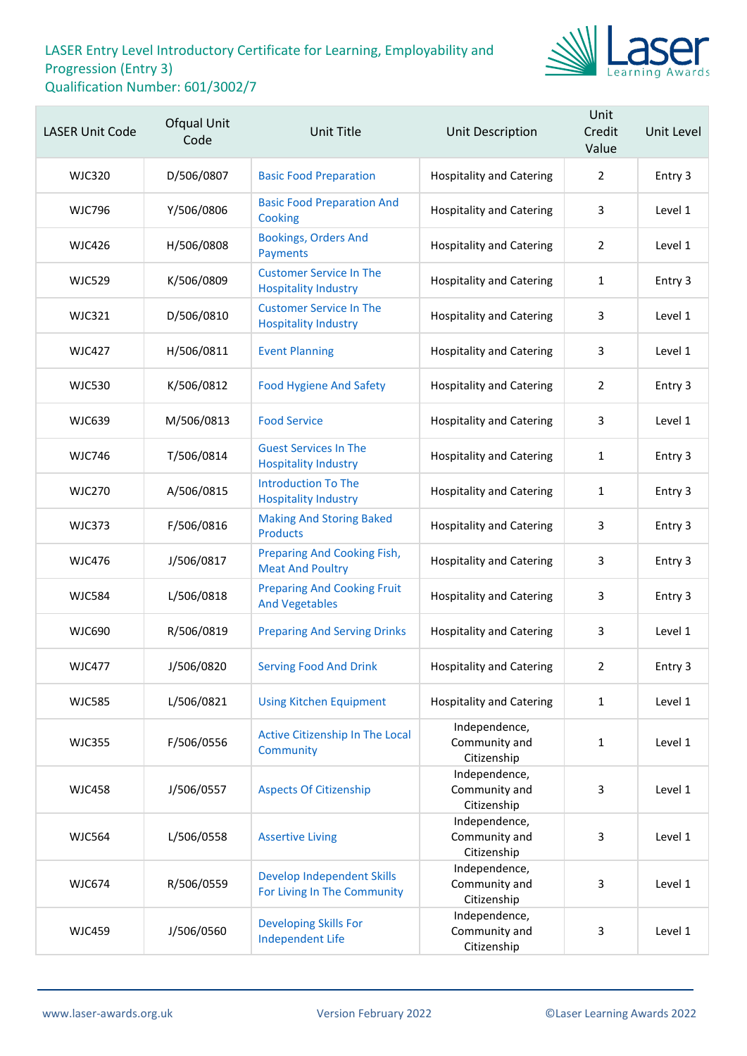

| <b>LASER Unit Code</b> | Ofqual Unit<br>Code | <b>Unit Title</b>                                                | Unit Description                              | Unit<br>Credit<br>Value | Unit Level |
|------------------------|---------------------|------------------------------------------------------------------|-----------------------------------------------|-------------------------|------------|
| <b>WJC320</b>          | D/506/0807          | <b>Basic Food Preparation</b>                                    | <b>Hospitality and Catering</b>               | $\overline{2}$          | Entry 3    |
| <b>WJC796</b>          | Y/506/0806          | <b>Basic Food Preparation And</b><br>Cooking                     | <b>Hospitality and Catering</b>               | 3                       | Level 1    |
| <b>WJC426</b>          | H/506/0808          | <b>Bookings, Orders And</b><br>Payments                          | <b>Hospitality and Catering</b>               | $\overline{2}$          | Level 1    |
| <b>WJC529</b>          | K/506/0809          | <b>Customer Service In The</b><br><b>Hospitality Industry</b>    | <b>Hospitality and Catering</b>               | 1                       | Entry 3    |
| WJC321                 | D/506/0810          | <b>Customer Service In The</b><br><b>Hospitality Industry</b>    | <b>Hospitality and Catering</b>               | 3                       | Level 1    |
| <b>WJC427</b>          | H/506/0811          | <b>Event Planning</b>                                            | <b>Hospitality and Catering</b>               | 3                       | Level 1    |
| <b>WJC530</b>          | K/506/0812          | <b>Food Hygiene And Safety</b>                                   | <b>Hospitality and Catering</b>               | $\overline{2}$          | Entry 3    |
| <b>WJC639</b>          | M/506/0813          | <b>Food Service</b>                                              | <b>Hospitality and Catering</b>               | 3                       | Level 1    |
| <b>WJC746</b>          | T/506/0814          | <b>Guest Services In The</b><br><b>Hospitality Industry</b>      | <b>Hospitality and Catering</b>               | $\mathbf{1}$            | Entry 3    |
| <b>WJC270</b>          | A/506/0815          | <b>Introduction To The</b><br><b>Hospitality Industry</b>        | <b>Hospitality and Catering</b>               | 1                       | Entry 3    |
| <b>WJC373</b>          | F/506/0816          | <b>Making And Storing Baked</b><br><b>Products</b>               | <b>Hospitality and Catering</b>               | 3                       | Entry 3    |
| <b>WJC476</b>          | J/506/0817          | Preparing And Cooking Fish,<br><b>Meat And Poultry</b>           | <b>Hospitality and Catering</b>               | 3                       | Entry 3    |
| <b>WJC584</b>          | L/506/0818          | <b>Preparing And Cooking Fruit</b><br><b>And Vegetables</b>      | <b>Hospitality and Catering</b>               | 3                       | Entry 3    |
| <b>WJC690</b>          | R/506/0819          | <b>Preparing And Serving Drinks</b>                              | <b>Hospitality and Catering</b>               | 3                       | Level 1    |
| <b>WJC477</b>          | J/506/0820          | <b>Serving Food And Drink</b>                                    | <b>Hospitality and Catering</b>               | 2                       | Entry 3    |
| <b>WJC585</b>          | L/506/0821          | <b>Using Kitchen Equipment</b>                                   | <b>Hospitality and Catering</b>               | $\mathbf{1}$            | Level 1    |
| <b>WJC355</b>          | F/506/0556          | Active Citizenship In The Local<br>Community                     | Independence,<br>Community and<br>Citizenship | $\mathbf{1}$            | Level 1    |
| <b>WJC458</b>          | J/506/0557          | <b>Aspects Of Citizenship</b>                                    | Independence,<br>Community and<br>Citizenship | 3                       | Level 1    |
| <b>WJC564</b>          | L/506/0558          | <b>Assertive Living</b>                                          | Independence,<br>Community and<br>Citizenship | 3                       | Level 1    |
| <b>WJC674</b>          | R/506/0559          | <b>Develop Independent Skills</b><br>For Living In The Community | Independence,<br>Community and<br>Citizenship | 3                       | Level 1    |
| <b>WJC459</b>          | J/506/0560          | <b>Developing Skills For</b><br><b>Independent Life</b>          | Independence,<br>Community and<br>Citizenship | 3                       | Level 1    |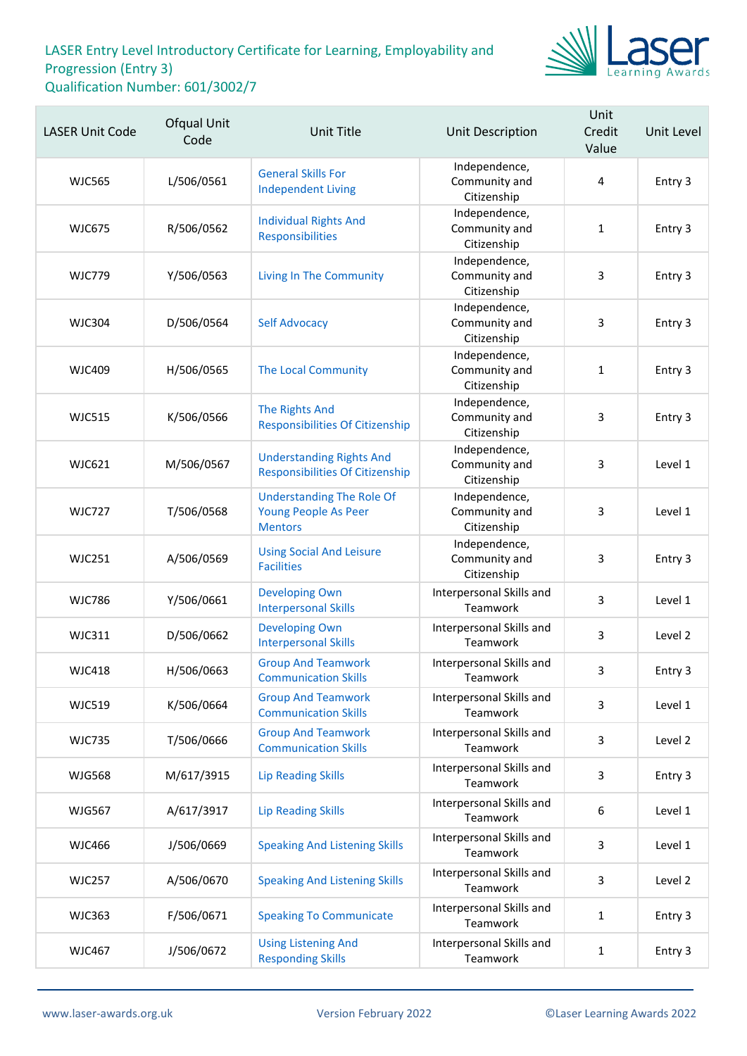

| <b>LASER Unit Code</b> | Ofqual Unit<br>Code | <b>Unit Title</b>                                                          | Unit Description                              | Unit<br>Credit<br>Value | Unit Level |
|------------------------|---------------------|----------------------------------------------------------------------------|-----------------------------------------------|-------------------------|------------|
| <b>WJC565</b>          | L/506/0561          | <b>General Skills For</b><br><b>Independent Living</b>                     | Independence,<br>Community and<br>Citizenship | $\overline{4}$          | Entry 3    |
| <b>WJC675</b>          | R/506/0562          | <b>Individual Rights And</b><br>Responsibilities                           | Independence,<br>Community and<br>Citizenship | 1                       | Entry 3    |
| <b>WJC779</b>          | Y/506/0563          | <b>Living In The Community</b>                                             | Independence,<br>Community and<br>Citizenship | 3                       | Entry 3    |
| <b>WJC304</b>          | D/506/0564          | <b>Self Advocacy</b>                                                       | Independence,<br>Community and<br>Citizenship | 3                       | Entry 3    |
| <b>WJC409</b>          | H/506/0565          | <b>The Local Community</b>                                                 | Independence,<br>Community and<br>Citizenship | $\mathbf{1}$            | Entry 3    |
| <b>WJC515</b>          | K/506/0566          | The Rights And<br><b>Responsibilities Of Citizenship</b>                   | Independence,<br>Community and<br>Citizenship | 3                       | Entry 3    |
| <b>WJC621</b>          | M/506/0567          | <b>Understanding Rights And</b><br><b>Responsibilities Of Citizenship</b>  | Independence,<br>Community and<br>Citizenship | 3                       | Level 1    |
| <b>WJC727</b>          | T/506/0568          | <b>Understanding The Role Of</b><br>Young People As Peer<br><b>Mentors</b> | Independence,<br>Community and<br>Citizenship | 3                       | Level 1    |
| <b>WJC251</b>          | A/506/0569          | <b>Using Social And Leisure</b><br><b>Facilities</b>                       | Independence,<br>Community and<br>Citizenship | 3                       | Entry 3    |
| <b>WJC786</b>          | Y/506/0661          | <b>Developing Own</b><br><b>Interpersonal Skills</b>                       | Interpersonal Skills and<br>Teamwork          | 3                       | Level 1    |
| <b>WJC311</b>          | D/506/0662          | <b>Developing Own</b><br><b>Interpersonal Skills</b>                       | Interpersonal Skills and<br>Teamwork          | 3                       | Level 2    |
| <b>WJC418</b>          | H/506/0663          | <b>Group And Teamwork</b><br><b>Communication Skills</b>                   | Interpersonal Skills and<br>Teamwork          | 3                       | Entry 3    |
| <b>WJC519</b>          | K/506/0664          | <b>Group And Teamwork</b><br><b>Communication Skills</b>                   | Interpersonal Skills and<br>Teamwork          | 3                       | Level 1    |
| <b>WJC735</b>          | T/506/0666          | <b>Group And Teamwork</b><br><b>Communication Skills</b>                   | Interpersonal Skills and<br>Teamwork          | 3                       | Level 2    |
| <b>WJG568</b>          | M/617/3915          | <b>Lip Reading Skills</b>                                                  | Interpersonal Skills and<br>Teamwork          | 3                       | Entry 3    |
| <b>WJG567</b>          | A/617/3917          | <b>Lip Reading Skills</b>                                                  | Interpersonal Skills and<br>Teamwork          | 6                       | Level 1    |
| <b>WJC466</b>          | J/506/0669          | <b>Speaking And Listening Skills</b>                                       | Interpersonal Skills and<br>Teamwork          | 3                       | Level 1    |
| <b>WJC257</b>          | A/506/0670          | <b>Speaking And Listening Skills</b>                                       | Interpersonal Skills and<br>Teamwork          | 3                       | Level 2    |
| <b>WJC363</b>          | F/506/0671          | <b>Speaking To Communicate</b>                                             | Interpersonal Skills and<br>Teamwork          | $\mathbf{1}$            | Entry 3    |
| <b>WJC467</b>          | J/506/0672          | <b>Using Listening And</b><br><b>Responding Skills</b>                     | Interpersonal Skills and<br>Teamwork          | $\mathbf{1}$            | Entry 3    |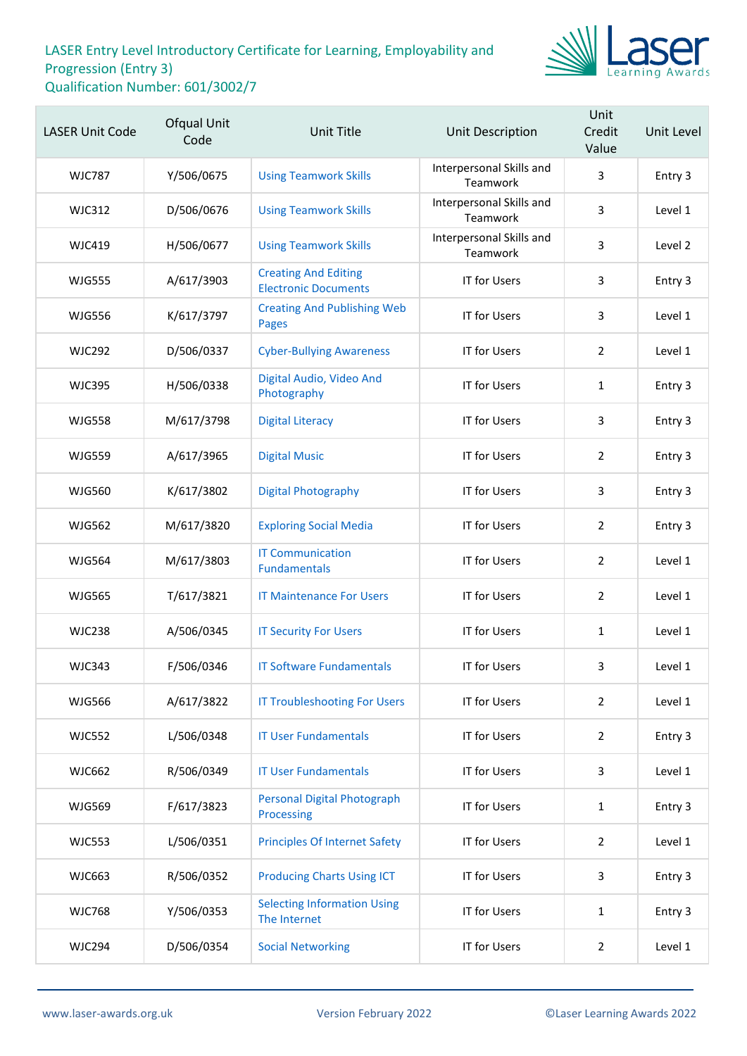

| <b>LASER Unit Code</b> | Ofqual Unit<br>Code | <b>Unit Title</b>                                          | Unit Description                     | Unit<br>Credit<br>Value | Unit Level |
|------------------------|---------------------|------------------------------------------------------------|--------------------------------------|-------------------------|------------|
| <b>WJC787</b>          | Y/506/0675          | <b>Using Teamwork Skills</b>                               | Interpersonal Skills and<br>Teamwork | 3                       | Entry 3    |
| <b>WJC312</b>          | D/506/0676          | <b>Using Teamwork Skills</b>                               | Interpersonal Skills and<br>Teamwork | $\overline{3}$          | Level 1    |
| <b>WJC419</b>          | H/506/0677          | <b>Using Teamwork Skills</b>                               | Interpersonal Skills and<br>Teamwork | 3                       | Level 2    |
| <b>WJG555</b>          | A/617/3903          | <b>Creating And Editing</b><br><b>Electronic Documents</b> | <b>IT for Users</b>                  | 3                       | Entry 3    |
| <b>WJG556</b>          | K/617/3797          | <b>Creating And Publishing Web</b><br><b>Pages</b>         | <b>IT for Users</b>                  | 3                       | Level 1    |
| <b>WJC292</b>          | D/506/0337          | <b>Cyber-Bullying Awareness</b>                            | <b>IT for Users</b>                  | 2                       | Level 1    |
| <b>WJC395</b>          | H/506/0338          | Digital Audio, Video And<br>Photography                    | <b>IT for Users</b>                  | $\mathbf{1}$            | Entry 3    |
| <b>WJG558</b>          | M/617/3798          | <b>Digital Literacy</b>                                    | <b>IT for Users</b>                  | 3                       | Entry 3    |
| <b>WJG559</b>          | A/617/3965          | <b>Digital Music</b>                                       | <b>IT for Users</b>                  | 2                       | Entry 3    |
| <b>WJG560</b>          | K/617/3802          | <b>Digital Photography</b>                                 | <b>IT for Users</b>                  | 3                       | Entry 3    |
| <b>WJG562</b>          | M/617/3820          | <b>Exploring Social Media</b>                              | <b>IT for Users</b>                  | $\overline{2}$          | Entry 3    |
| <b>WJG564</b>          | M/617/3803          | <b>IT Communication</b><br><b>Fundamentals</b>             | <b>IT for Users</b>                  | 2                       | Level 1    |
| <b>WJG565</b>          | T/617/3821          | <b>IT Maintenance For Users</b>                            | <b>IT for Users</b>                  | $\overline{2}$          | Level 1    |
| <b>WJC238</b>          | A/506/0345          | <b>IT Security For Users</b>                               | <b>IT for Users</b>                  | $\mathbf{1}$            | Level 1    |
| <b>WJC343</b>          | F/506/0346          | <b>IT Software Fundamentals</b>                            | <b>IT for Users</b>                  | 3                       | Level 1    |
| <b>WJG566</b>          | A/617/3822          | <b>IT Troubleshooting For Users</b>                        | <b>IT for Users</b>                  | $\overline{2}$          | Level 1    |
| <b>WJC552</b>          | L/506/0348          | <b>IT User Fundamentals</b>                                | <b>IT for Users</b>                  | $\overline{2}$          | Entry 3    |
| <b>WJC662</b>          | R/506/0349          | <b>IT User Fundamentals</b>                                | <b>IT for Users</b>                  | 3                       | Level 1    |
| <b>WJG569</b>          | F/617/3823          | <b>Personal Digital Photograph</b><br>Processing           | <b>IT for Users</b>                  | $\mathbf{1}$            | Entry 3    |
| <b>WJC553</b>          | L/506/0351          | <b>Principles Of Internet Safety</b>                       | <b>IT for Users</b>                  | $\overline{2}$          | Level 1    |
| <b>WJC663</b>          | R/506/0352          | <b>Producing Charts Using ICT</b>                          | <b>IT for Users</b>                  | 3                       | Entry 3    |
| <b>WJC768</b>          | Y/506/0353          | <b>Selecting Information Using</b><br>The Internet         | <b>IT for Users</b>                  | $\mathbf{1}$            | Entry 3    |
| <b>WJC294</b>          | D/506/0354          | <b>Social Networking</b>                                   | <b>IT for Users</b>                  | $\overline{2}$          | Level 1    |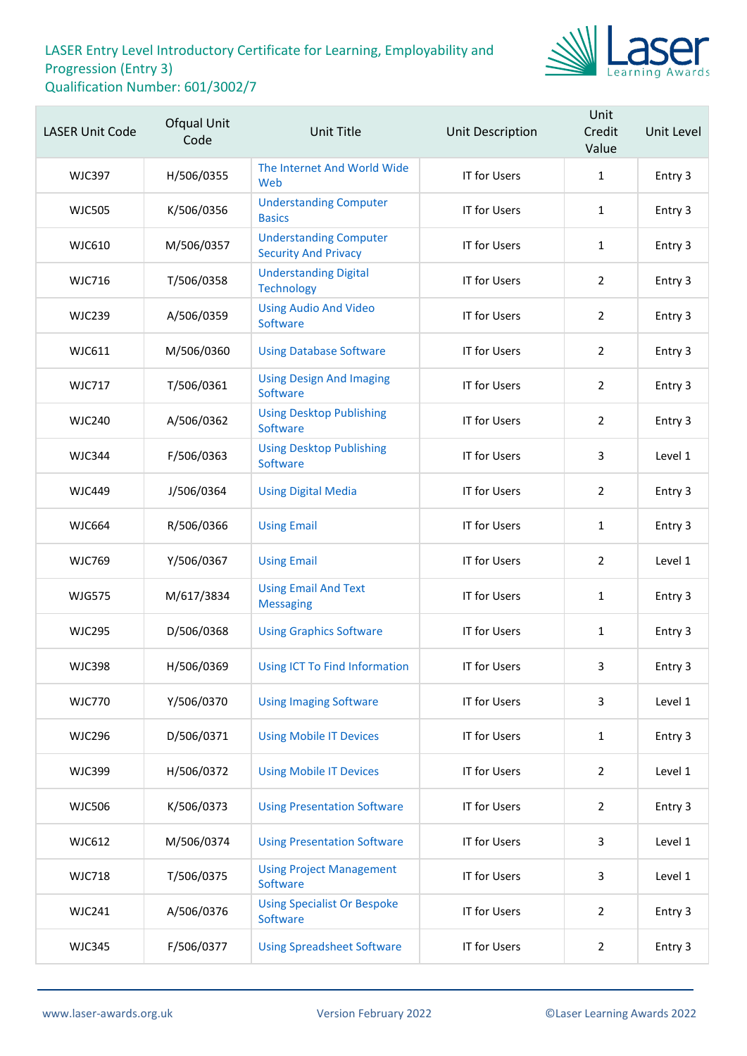

| <b>LASER Unit Code</b> | Ofqual Unit<br>Code | <b>Unit Title</b>                                            | <b>Unit Description</b> | Unit<br>Credit<br>Value | Unit Level |
|------------------------|---------------------|--------------------------------------------------------------|-------------------------|-------------------------|------------|
| <b>WJC397</b>          | H/506/0355          | The Internet And World Wide<br>Web                           | IT for Users            | $\mathbf{1}$            | Entry 3    |
| <b>WJC505</b>          | K/506/0356          | <b>Understanding Computer</b><br><b>Basics</b>               | <b>IT for Users</b>     | $\mathbf{1}$            | Entry 3    |
| <b>WJC610</b>          | M/506/0357          | <b>Understanding Computer</b><br><b>Security And Privacy</b> | <b>IT for Users</b>     | $\mathbf{1}$            | Entry 3    |
| <b>WJC716</b>          | T/506/0358          | <b>Understanding Digital</b><br><b>Technology</b>            | <b>IT for Users</b>     | $\overline{2}$          | Entry 3    |
| <b>WJC239</b>          | A/506/0359          | <b>Using Audio And Video</b><br>Software                     | <b>IT for Users</b>     | $\overline{2}$          | Entry 3    |
| WJC611                 | M/506/0360          | <b>Using Database Software</b>                               | <b>IT for Users</b>     | $\overline{2}$          | Entry 3    |
| <b>WJC717</b>          | T/506/0361          | <b>Using Design And Imaging</b><br>Software                  | IT for Users            | $\overline{2}$          | Entry 3    |
| <b>WJC240</b>          | A/506/0362          | <b>Using Desktop Publishing</b><br>Software                  | <b>IT for Users</b>     | $\overline{2}$          | Entry 3    |
| <b>WJC344</b>          | F/506/0363          | <b>Using Desktop Publishing</b><br>Software                  | <b>IT for Users</b>     | 3                       | Level 1    |
| <b>WJC449</b>          | J/506/0364          | <b>Using Digital Media</b>                                   | IT for Users            | $\overline{2}$          | Entry 3    |
| <b>WJC664</b>          | R/506/0366          | <b>Using Email</b>                                           | <b>IT for Users</b>     | $\mathbf{1}$            | Entry 3    |
| <b>WJC769</b>          | Y/506/0367          | <b>Using Email</b>                                           | IT for Users            | $\overline{2}$          | Level 1    |
| <b>WJG575</b>          | M/617/3834          | <b>Using Email And Text</b><br><b>Messaging</b>              | IT for Users            | $\mathbf{1}$            | Entry 3    |
| <b>WJC295</b>          | D/506/0368          | <b>Using Graphics Software</b>                               | <b>IT for Users</b>     | $\mathbf{1}$            | Entry 3    |
| <b>WJC398</b>          | H/506/0369          | <b>Using ICT To Find Information</b>                         | <b>IT for Users</b>     | 3                       | Entry 3    |
| <b>WJC770</b>          | Y/506/0370          | <b>Using Imaging Software</b>                                | <b>IT for Users</b>     | 3                       | Level 1    |
| <b>WJC296</b>          | D/506/0371          | <b>Using Mobile IT Devices</b>                               | IT for Users            | $\mathbf{1}$            | Entry 3    |
| <b>WJC399</b>          | H/506/0372          | <b>Using Mobile IT Devices</b>                               | IT for Users            | $\overline{2}$          | Level 1    |
| <b>WJC506</b>          | K/506/0373          | <b>Using Presentation Software</b>                           | <b>IT for Users</b>     | $\overline{2}$          | Entry 3    |
| WJC612                 | M/506/0374          | <b>Using Presentation Software</b>                           | IT for Users            | 3                       | Level 1    |
| <b>WJC718</b>          | T/506/0375          | <b>Using Project Management</b><br>Software                  | <b>IT for Users</b>     | 3                       | Level 1    |
| <b>WJC241</b>          | A/506/0376          | <b>Using Specialist Or Bespoke</b><br>Software               | <b>IT for Users</b>     | $\overline{2}$          | Entry 3    |
| <b>WJC345</b>          | F/506/0377          | <b>Using Spreadsheet Software</b>                            | IT for Users            | $\overline{2}$          | Entry 3    |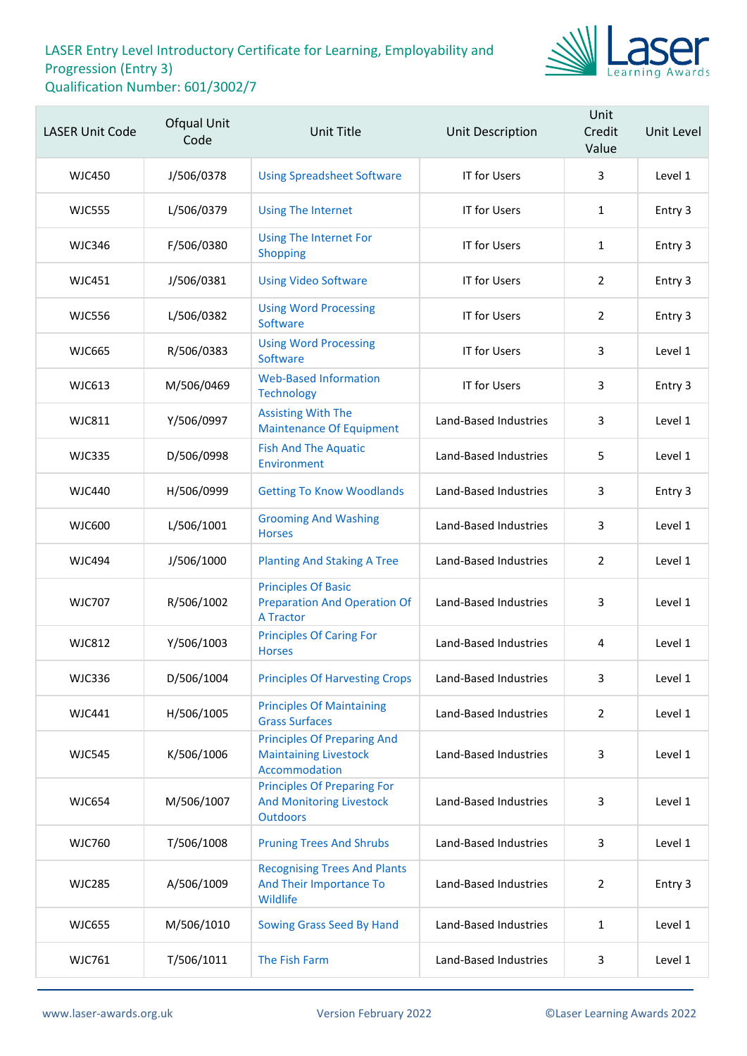

| <b>LASER Unit Code</b> | Ofqual Unit<br>Code | <b>Unit Title</b>                                                                        | Unit Description      | Unit<br>Credit<br>Value | Unit Level |
|------------------------|---------------------|------------------------------------------------------------------------------------------|-----------------------|-------------------------|------------|
| <b>WJC450</b>          | J/506/0378          | <b>Using Spreadsheet Software</b>                                                        | <b>IT for Users</b>   | 3                       | Level 1    |
| <b>WJC555</b>          | L/506/0379          | <b>Using The Internet</b>                                                                | IT for Users          | $\mathbf{1}$            | Entry 3    |
| <b>WJC346</b>          | F/506/0380          | <b>Using The Internet For</b><br>Shopping                                                | <b>IT for Users</b>   | $\mathbf{1}$            | Entry 3    |
| <b>WJC451</b>          | J/506/0381          | <b>Using Video Software</b>                                                              | <b>IT for Users</b>   | $\overline{2}$          | Entry 3    |
| <b>WJC556</b>          | L/506/0382          | <b>Using Word Processing</b><br>Software                                                 | IT for Users          | $\overline{2}$          | Entry 3    |
| <b>WJC665</b>          | R/506/0383          | <b>Using Word Processing</b><br>Software                                                 | <b>IT for Users</b>   | 3                       | Level 1    |
| <b>WJC613</b>          | M/506/0469          | <b>Web-Based Information</b><br><b>Technology</b>                                        | IT for Users          | 3                       | Entry 3    |
| <b>WJC811</b>          | Y/506/0997          | <b>Assisting With The</b><br><b>Maintenance Of Equipment</b>                             | Land-Based Industries | 3                       | Level 1    |
| <b>WJC335</b>          | D/506/0998          | <b>Fish And The Aquatic</b><br>Environment                                               | Land-Based Industries | 5                       | Level 1    |
| <b>WJC440</b>          | H/506/0999          | <b>Getting To Know Woodlands</b>                                                         | Land-Based Industries | 3                       | Entry 3    |
| <b>WJC600</b>          | L/506/1001          | <b>Grooming And Washing</b><br><b>Horses</b>                                             | Land-Based Industries | 3                       | Level 1    |
| <b>WJC494</b>          | J/506/1000          | <b>Planting And Staking A Tree</b>                                                       | Land-Based Industries | $\overline{2}$          | Level 1    |
| <b>WJC707</b>          | R/506/1002          | <b>Principles Of Basic</b><br><b>Preparation And Operation Of</b><br><b>A Tractor</b>    | Land-Based Industries | 3                       | Level 1    |
| <b>WJC812</b>          | Y/506/1003          | <b>Principles Of Caring For</b><br><b>Horses</b>                                         | Land-Based Industries | 4                       | Level 1    |
| <b>WJC336</b>          | D/506/1004          | <b>Principles Of Harvesting Crops</b>                                                    | Land-Based Industries | 3                       | Level 1    |
| <b>WJC441</b>          | H/506/1005          | <b>Principles Of Maintaining</b><br><b>Grass Surfaces</b>                                | Land-Based Industries | $\overline{2}$          | Level 1    |
| <b>WJC545</b>          | K/506/1006          | <b>Principles Of Preparing And</b><br><b>Maintaining Livestock</b><br>Accommodation      | Land-Based Industries | 3                       | Level 1    |
| <b>WJC654</b>          | M/506/1007          | <b>Principles Of Preparing For</b><br><b>And Monitoring Livestock</b><br><b>Outdoors</b> | Land-Based Industries | 3                       | Level 1    |
| <b>WJC760</b>          | T/506/1008          | <b>Pruning Trees And Shrubs</b>                                                          | Land-Based Industries | 3                       | Level 1    |
| <b>WJC285</b>          | A/506/1009          | <b>Recognising Trees And Plants</b><br>And Their Importance To<br>Wildlife               | Land-Based Industries | $\overline{2}$          | Entry 3    |
| <b>WJC655</b>          | M/506/1010          | Sowing Grass Seed By Hand                                                                | Land-Based Industries | $\mathbf{1}$            | Level 1    |
| <b>WJC761</b>          | T/506/1011          | The Fish Farm                                                                            | Land-Based Industries | 3                       | Level 1    |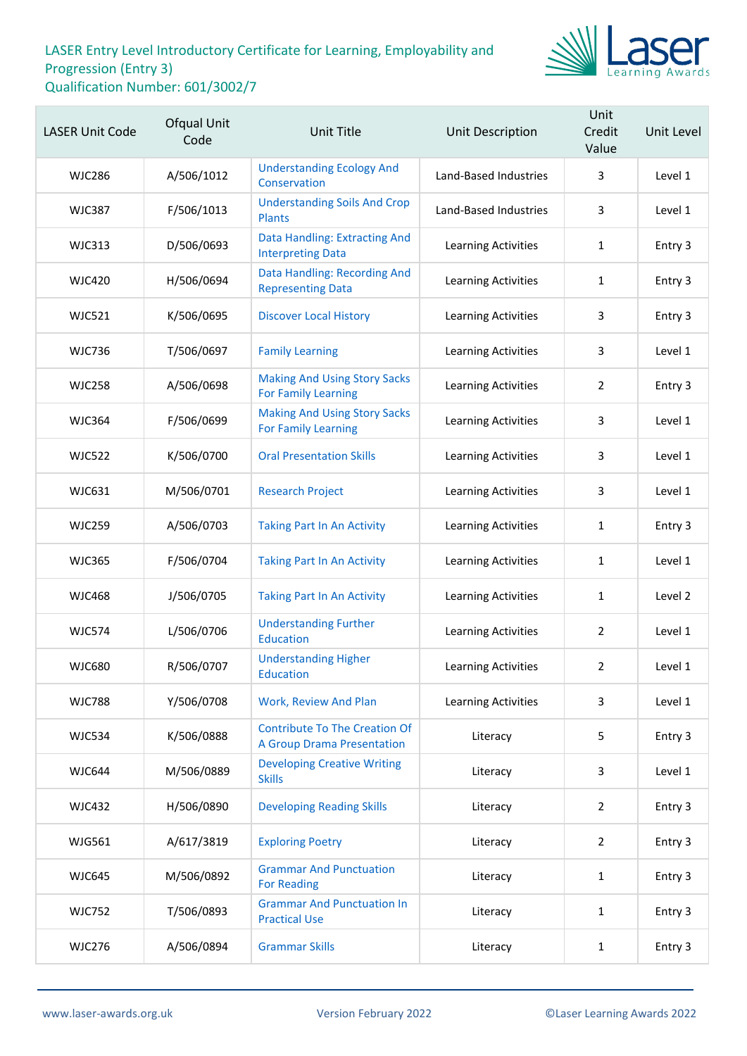

| <b>LASER Unit Code</b> | Ofqual Unit<br>Code | Unit Title                                                                | Unit Description           | Unit<br>Credit<br>Value | Unit Level |
|------------------------|---------------------|---------------------------------------------------------------------------|----------------------------|-------------------------|------------|
| <b>WJC286</b>          | A/506/1012          | <b>Understanding Ecology And</b><br>Conservation                          | Land-Based Industries      | 3                       | Level 1    |
| <b>WJC387</b>          | F/506/1013          | <b>Understanding Soils And Crop</b><br><b>Plants</b>                      | Land-Based Industries      | 3                       | Level 1    |
| <b>WJC313</b>          | D/506/0693          | Data Handling: Extracting And<br><b>Interpreting Data</b>                 | Learning Activities        | $\mathbf{1}$            | Entry 3    |
| <b>WJC420</b>          | H/506/0694          | Data Handling: Recording And<br><b>Representing Data</b>                  | Learning Activities        | 1                       | Entry 3    |
| <b>WJC521</b>          | K/506/0695          | <b>Discover Local History</b>                                             | Learning Activities        | 3                       | Entry 3    |
| <b>WJC736</b>          | T/506/0697          | <b>Family Learning</b>                                                    | Learning Activities        | 3                       | Level 1    |
| <b>WJC258</b>          | A/506/0698          | <b>Making And Using Story Sacks</b><br><b>For Family Learning</b>         | Learning Activities        | $\overline{2}$          | Entry 3    |
| <b>WJC364</b>          | F/506/0699          | <b>Making And Using Story Sacks</b><br><b>For Family Learning</b>         | <b>Learning Activities</b> | 3                       | Level 1    |
| <b>WJC522</b>          | K/506/0700          | <b>Oral Presentation Skills</b>                                           | Learning Activities        | 3                       | Level 1    |
| WJC631                 | M/506/0701          | <b>Research Project</b>                                                   | Learning Activities        | 3                       | Level 1    |
| <b>WJC259</b>          | A/506/0703          | <b>Taking Part In An Activity</b>                                         | <b>Learning Activities</b> | 1                       | Entry 3    |
| <b>WJC365</b>          | F/506/0704          | <b>Taking Part In An Activity</b>                                         | Learning Activities        | 1                       | Level 1    |
| <b>WJC468</b>          | J/506/0705          | <b>Taking Part In An Activity</b>                                         | Learning Activities        | 1                       | Level 2    |
| <b>WJC574</b>          | L/506/0706          | <b>Understanding Further</b><br><b>Education</b>                          | <b>Learning Activities</b> | $\overline{2}$          | Level 1    |
| <b>WJC680</b>          | R/506/0707          | <b>Understanding Higher</b><br>Education                                  | Learning Activities        | $\overline{2}$          | Level 1    |
| <b>WJC788</b>          | Y/506/0708          | <b>Work, Review And Plan</b>                                              | Learning Activities        | 3                       | Level 1    |
| <b>WJC534</b>          | K/506/0888          | <b>Contribute To The Creation Of</b><br><b>A Group Drama Presentation</b> | Literacy                   | 5                       | Entry 3    |
| <b>WJC644</b>          | M/506/0889          | <b>Developing Creative Writing</b><br><b>Skills</b>                       | Literacy                   | 3                       | Level 1    |
| <b>WJC432</b>          | H/506/0890          | <b>Developing Reading Skills</b>                                          | Literacy                   | $\overline{2}$          | Entry 3    |
| <b>WJG561</b>          | A/617/3819          | <b>Exploring Poetry</b>                                                   | Literacy                   | $\overline{2}$          | Entry 3    |
| <b>WJC645</b>          | M/506/0892          | <b>Grammar And Punctuation</b><br><b>For Reading</b>                      | Literacy                   | $\mathbf{1}$            | Entry 3    |
| <b>WJC752</b>          | T/506/0893          | <b>Grammar And Punctuation In</b><br><b>Practical Use</b>                 | Literacy                   | 1                       | Entry 3    |
| <b>WJC276</b>          | A/506/0894          | <b>Grammar Skills</b>                                                     | Literacy                   | $\mathbf{1}$            | Entry 3    |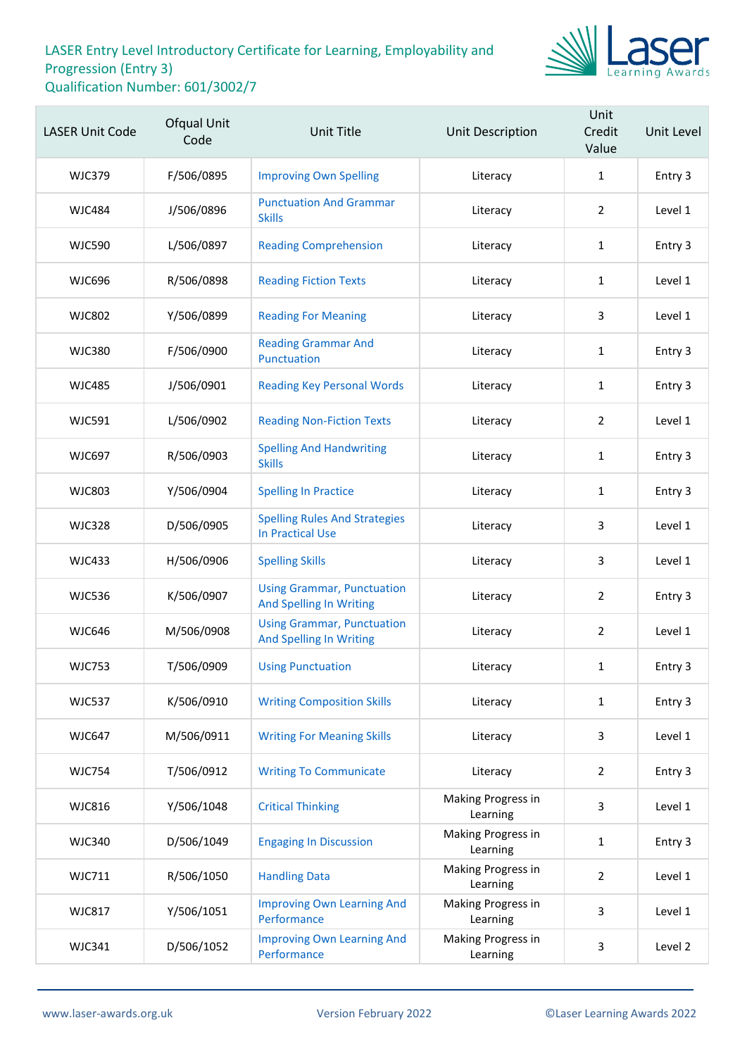

| <b>LASER Unit Code</b> | Ofqual Unit<br>Code | <b>Unit Title</b>                                                   | Unit Description               | Unit<br>Credit<br>Value | Unit Level |
|------------------------|---------------------|---------------------------------------------------------------------|--------------------------------|-------------------------|------------|
| <b>WJC379</b>          | F/506/0895          | <b>Improving Own Spelling</b>                                       | Literacy                       | $\mathbf{1}$            | Entry 3    |
| <b>WJC484</b>          | J/506/0896          | <b>Punctuation And Grammar</b><br><b>Skills</b>                     | Literacy                       | $\overline{2}$          | Level 1    |
| <b>WJC590</b>          | L/506/0897          | <b>Reading Comprehension</b>                                        | Literacy                       | $\mathbf{1}$            | Entry 3    |
| <b>WJC696</b>          | R/506/0898          | <b>Reading Fiction Texts</b>                                        | Literacy                       | $\mathbf{1}$            | Level 1    |
| <b>WJC802</b>          | Y/506/0899          | <b>Reading For Meaning</b>                                          | Literacy                       | 3                       | Level 1    |
| <b>WJC380</b>          | F/506/0900          | <b>Reading Grammar And</b><br>Punctuation                           | Literacy                       | $\mathbf{1}$            | Entry 3    |
| <b>WJC485</b>          | J/506/0901          | <b>Reading Key Personal Words</b>                                   | Literacy                       | $\mathbf{1}$            | Entry 3    |
| <b>WJC591</b>          | L/506/0902          | <b>Reading Non-Fiction Texts</b>                                    | Literacy                       | $\overline{2}$          | Level 1    |
| <b>WJC697</b>          | R/506/0903          | <b>Spelling And Handwriting</b><br><b>Skills</b>                    | Literacy                       | $\mathbf{1}$            | Entry 3    |
| <b>WJC803</b>          | Y/506/0904          | <b>Spelling In Practice</b>                                         | Literacy                       | $\mathbf{1}$            | Entry 3    |
| <b>WJC328</b>          | D/506/0905          | <b>Spelling Rules And Strategies</b><br><b>In Practical Use</b>     | Literacy                       | 3                       | Level 1    |
| <b>WJC433</b>          | H/506/0906          | <b>Spelling Skills</b>                                              | Literacy                       | 3                       | Level 1    |
| <b>WJC536</b>          | K/506/0907          | <b>Using Grammar, Punctuation</b><br><b>And Spelling In Writing</b> | Literacy                       | $\overline{2}$          | Entry 3    |
| <b>WJC646</b>          | M/506/0908          | <b>Using Grammar, Punctuation</b><br><b>And Spelling In Writing</b> | Literacy                       | $\overline{2}$          | Level 1    |
| <b>WJC753</b>          | T/506/0909          | <b>Using Punctuation</b>                                            | Literacy                       | $\mathbf{1}$            | Entry 3    |
| <b>WJC537</b>          | K/506/0910          | <b>Writing Composition Skills</b>                                   | Literacy                       | $\mathbf{1}$            | Entry 3    |
| <b>WJC647</b>          | M/506/0911          | <b>Writing For Meaning Skills</b>                                   | Literacy                       | 3                       | Level 1    |
| <b>WJC754</b>          | T/506/0912          | <b>Writing To Communicate</b>                                       | Literacy                       | $\overline{2}$          | Entry 3    |
| <b>WJC816</b>          | Y/506/1048          | <b>Critical Thinking</b>                                            | Making Progress in<br>Learning | 3                       | Level 1    |
| <b>WJC340</b>          | D/506/1049          | <b>Engaging In Discussion</b>                                       | Making Progress in<br>Learning | $\mathbf{1}$            | Entry 3    |
| <b>WJC711</b>          | R/506/1050          | <b>Handling Data</b>                                                | Making Progress in<br>Learning | $\overline{2}$          | Level 1    |
| <b>WJC817</b>          | Y/506/1051          | <b>Improving Own Learning And</b><br>Performance                    | Making Progress in<br>Learning | 3                       | Level 1    |
| <b>WJC341</b>          | D/506/1052          | <b>Improving Own Learning And</b><br>Performance                    | Making Progress in<br>Learning | $\mathbf{3}$            | Level 2    |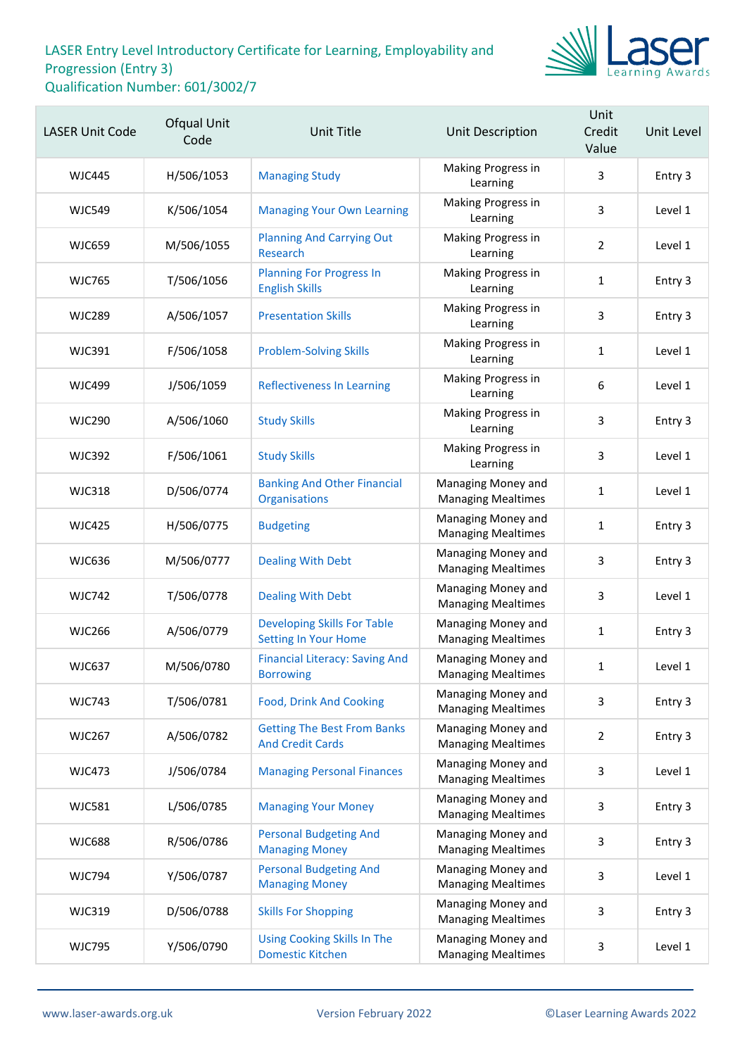

| <b>LASER Unit Code</b> | Ofqual Unit<br>Code | <b>Unit Title</b>                                             | <b>Unit Description</b>                         | Unit<br>Credit<br>Value | Unit Level |
|------------------------|---------------------|---------------------------------------------------------------|-------------------------------------------------|-------------------------|------------|
| <b>WJC445</b>          | H/506/1053          | <b>Managing Study</b>                                         | Making Progress in<br>Learning                  | 3                       | Entry 3    |
| <b>WJC549</b>          | K/506/1054          | <b>Managing Your Own Learning</b>                             | Making Progress in<br>Learning                  | 3                       | Level 1    |
| <b>WJC659</b>          | M/506/1055          | <b>Planning And Carrying Out</b><br>Research                  | Making Progress in<br>Learning                  | 2                       | Level 1    |
| <b>WJC765</b>          | T/506/1056          | <b>Planning For Progress In</b><br><b>English Skills</b>      | Making Progress in<br>Learning                  | 1                       | Entry 3    |
| <b>WJC289</b>          | A/506/1057          | <b>Presentation Skills</b>                                    | Making Progress in<br>Learning                  | 3                       | Entry 3    |
| <b>WJC391</b>          | F/506/1058          | <b>Problem-Solving Skills</b>                                 | Making Progress in<br>Learning                  | $\mathbf{1}$            | Level 1    |
| <b>WJC499</b>          | J/506/1059          | <b>Reflectiveness In Learning</b>                             | Making Progress in<br>Learning                  | $\boldsymbol{6}$        | Level 1    |
| <b>WJC290</b>          | A/506/1060          | <b>Study Skills</b>                                           | Making Progress in<br>Learning                  | 3                       | Entry 3    |
| <b>WJC392</b>          | F/506/1061          | <b>Study Skills</b>                                           | Making Progress in<br>Learning                  | 3                       | Level 1    |
| <b>WJC318</b>          | D/506/0774          | <b>Banking And Other Financial</b><br>Organisations           | Managing Money and<br><b>Managing Mealtimes</b> | 1                       | Level 1    |
| <b>WJC425</b>          | H/506/0775          | <b>Budgeting</b>                                              | Managing Money and<br><b>Managing Mealtimes</b> | $\mathbf{1}$            | Entry 3    |
| <b>WJC636</b>          | M/506/0777          | <b>Dealing With Debt</b>                                      | Managing Money and<br><b>Managing Mealtimes</b> | 3                       | Entry 3    |
| <b>WJC742</b>          | T/506/0778          | <b>Dealing With Debt</b>                                      | Managing Money and<br><b>Managing Mealtimes</b> | 3                       | Level 1    |
| <b>WJC266</b>          | A/506/0779          | <b>Developing Skills For Table</b><br>Setting In Your Home    | Managing Money and<br><b>Managing Mealtimes</b> | $\mathbf{1}$            | Entry 3    |
| <b>WJC637</b>          | M/506/0780          | <b>Financial Literacy: Saving And</b><br><b>Borrowing</b>     | Managing Money and<br><b>Managing Mealtimes</b> | 1                       | Level 1    |
| <b>WJC743</b>          | T/506/0781          | <b>Food, Drink And Cooking</b>                                | Managing Money and<br><b>Managing Mealtimes</b> | 3                       | Entry 3    |
| <b>WJC267</b>          | A/506/0782          | <b>Getting The Best From Banks</b><br><b>And Credit Cards</b> | Managing Money and<br><b>Managing Mealtimes</b> | $\overline{2}$          | Entry 3    |
| <b>WJC473</b>          | J/506/0784          | <b>Managing Personal Finances</b>                             | Managing Money and<br><b>Managing Mealtimes</b> | 3                       | Level 1    |
| <b>WJC581</b>          | L/506/0785          | <b>Managing Your Money</b>                                    | Managing Money and<br><b>Managing Mealtimes</b> | 3                       | Entry 3    |
| <b>WJC688</b>          | R/506/0786          | <b>Personal Budgeting And</b><br><b>Managing Money</b>        | Managing Money and<br><b>Managing Mealtimes</b> | 3                       | Entry 3    |
| <b>WJC794</b>          | Y/506/0787          | <b>Personal Budgeting And</b><br><b>Managing Money</b>        | Managing Money and<br><b>Managing Mealtimes</b> | 3                       | Level 1    |
| <b>WJC319</b>          | D/506/0788          | <b>Skills For Shopping</b>                                    | Managing Money and<br><b>Managing Mealtimes</b> | 3                       | Entry 3    |
| <b>WJC795</b>          | Y/506/0790          | <b>Using Cooking Skills In The</b><br><b>Domestic Kitchen</b> | Managing Money and<br><b>Managing Mealtimes</b> | 3                       | Level 1    |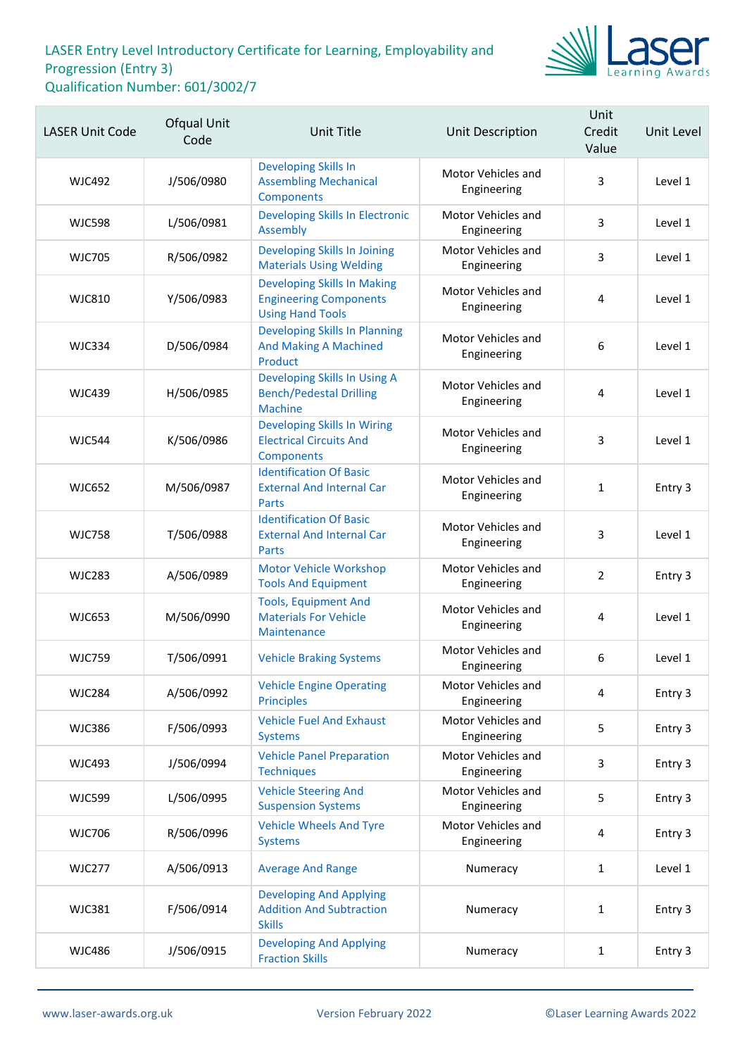

| <b>LASER Unit Code</b> | <b>Ofqual Unit</b><br>Code | Unit Title                                                                                     | <b>Unit Description</b>           | Unit<br>Credit<br>Value | Unit Level |
|------------------------|----------------------------|------------------------------------------------------------------------------------------------|-----------------------------------|-------------------------|------------|
| <b>WJC492</b>          | J/506/0980                 | <b>Developing Skills In</b><br><b>Assembling Mechanical</b><br>Components                      | Motor Vehicles and<br>Engineering | 3                       | Level 1    |
| <b>WJC598</b>          | L/506/0981                 | <b>Developing Skills In Electronic</b><br>Assembly                                             | Motor Vehicles and<br>Engineering | 3                       | Level 1    |
| <b>WJC705</b>          | R/506/0982                 | Developing Skills In Joining<br><b>Materials Using Welding</b>                                 | Motor Vehicles and<br>Engineering | 3                       | Level 1    |
| <b>WJC810</b>          | Y/506/0983                 | <b>Developing Skills In Making</b><br><b>Engineering Components</b><br><b>Using Hand Tools</b> | Motor Vehicles and<br>Engineering | 4                       | Level 1    |
| <b>WJC334</b>          | D/506/0984                 | <b>Developing Skills In Planning</b><br><b>And Making A Machined</b><br>Product                | Motor Vehicles and<br>Engineering | 6                       | Level 1    |
| <b>WJC439</b>          | H/506/0985                 | Developing Skills In Using A<br><b>Bench/Pedestal Drilling</b><br><b>Machine</b>               | Motor Vehicles and<br>Engineering | 4                       | Level 1    |
| <b>WJC544</b>          | K/506/0986                 | <b>Developing Skills In Wiring</b><br><b>Electrical Circuits And</b><br>Components             | Motor Vehicles and<br>Engineering | 3                       | Level 1    |
| <b>WJC652</b>          | M/506/0987                 | <b>Identification Of Basic</b><br><b>External And Internal Car</b><br>Parts                    | Motor Vehicles and<br>Engineering | $\mathbf{1}$            | Entry 3    |
| <b>WJC758</b>          | T/506/0988                 | <b>Identification Of Basic</b><br><b>External And Internal Car</b><br><b>Parts</b>             | Motor Vehicles and<br>Engineering | 3                       | Level 1    |
| <b>WJC283</b>          | A/506/0989                 | Motor Vehicle Workshop<br><b>Tools And Equipment</b>                                           | Motor Vehicles and<br>Engineering | $\overline{2}$          | Entry 3    |
| <b>WJC653</b>          | M/506/0990                 | <b>Tools, Equipment And</b><br><b>Materials For Vehicle</b><br>Maintenance                     | Motor Vehicles and<br>Engineering | 4                       | Level 1    |
| <b>WJC759</b>          | T/506/0991                 | <b>Vehicle Braking Systems</b>                                                                 | Motor Vehicles and<br>Engineering | 6                       | Level 1    |
| <b>WJC284</b>          | A/506/0992                 | <b>Vehicle Engine Operating</b><br><b>Principles</b>                                           | Motor Vehicles and<br>Engineering | 4                       | Entry 3    |
| <b>WJC386</b>          | F/506/0993                 | <b>Vehicle Fuel And Exhaust</b><br><b>Systems</b>                                              | Motor Vehicles and<br>Engineering | 5                       | Entry 3    |
| <b>WJC493</b>          | J/506/0994                 | <b>Vehicle Panel Preparation</b><br><b>Techniques</b>                                          | Motor Vehicles and<br>Engineering | 3                       | Entry 3    |
| <b>WJC599</b>          | L/506/0995                 | <b>Vehicle Steering And</b><br><b>Suspension Systems</b>                                       | Motor Vehicles and<br>Engineering | 5                       | Entry 3    |
| <b>WJC706</b>          | R/506/0996                 | <b>Vehicle Wheels And Tyre</b><br><b>Systems</b>                                               | Motor Vehicles and<br>Engineering | 4                       | Entry 3    |
| <b>WJC277</b>          | A/506/0913                 | <b>Average And Range</b>                                                                       | Numeracy                          | 1                       | Level 1    |
| <b>WJC381</b>          | F/506/0914                 | <b>Developing And Applying</b><br><b>Addition And Subtraction</b><br><b>Skills</b>             | Numeracy                          | $\mathbf{1}$            | Entry 3    |
| <b>WJC486</b>          | J/506/0915                 | <b>Developing And Applying</b><br><b>Fraction Skills</b>                                       | Numeracy                          | $\mathbf{1}$            | Entry 3    |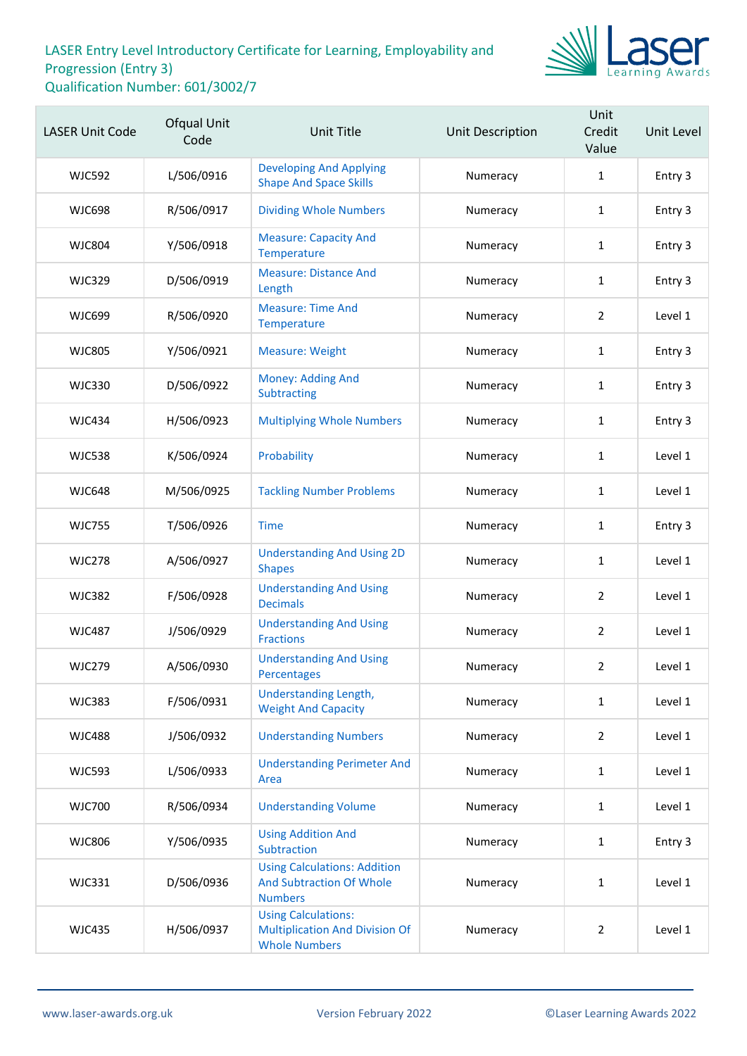

| <b>LASER Unit Code</b> | Ofqual Unit<br>Code | <b>Unit Title</b>                                                                           | Unit Description | Unit<br>Credit<br>Value | Unit Level |
|------------------------|---------------------|---------------------------------------------------------------------------------------------|------------------|-------------------------|------------|
| <b>WJC592</b>          | L/506/0916          | <b>Developing And Applying</b><br><b>Shape And Space Skills</b>                             | Numeracy         | 1                       | Entry 3    |
| <b>WJC698</b>          | R/506/0917          | <b>Dividing Whole Numbers</b>                                                               | Numeracy         | $\mathbf{1}$            | Entry 3    |
| <b>WJC804</b>          | Y/506/0918          | <b>Measure: Capacity And</b><br>Temperature                                                 | Numeracy         | $\mathbf{1}$            | Entry 3    |
| <b>WJC329</b>          | D/506/0919          | <b>Measure: Distance And</b><br>Length                                                      | Numeracy         | $\mathbf{1}$            | Entry 3    |
| <b>WJC699</b>          | R/506/0920          | <b>Measure: Time And</b><br>Temperature                                                     | Numeracy         | $\overline{2}$          | Level 1    |
| <b>WJC805</b>          | Y/506/0921          | <b>Measure: Weight</b>                                                                      | Numeracy         | $\mathbf{1}$            | Entry 3    |
| <b>WJC330</b>          | D/506/0922          | Money: Adding And<br>Subtracting                                                            | Numeracy         | $\mathbf{1}$            | Entry 3    |
| <b>WJC434</b>          | H/506/0923          | <b>Multiplying Whole Numbers</b>                                                            | Numeracy         | $\mathbf{1}$            | Entry 3    |
| <b>WJC538</b>          | K/506/0924          | Probability                                                                                 | Numeracy         | 1                       | Level 1    |
| <b>WJC648</b>          | M/506/0925          | <b>Tackling Number Problems</b>                                                             | Numeracy         | $\mathbf{1}$            | Level 1    |
| <b>WJC755</b>          | T/506/0926          | <b>Time</b>                                                                                 | Numeracy         | $\mathbf{1}$            | Entry 3    |
| <b>WJC278</b>          | A/506/0927          | <b>Understanding And Using 2D</b><br><b>Shapes</b>                                          | Numeracy         | $\mathbf{1}$            | Level 1    |
| <b>WJC382</b>          | F/506/0928          | <b>Understanding And Using</b><br><b>Decimals</b>                                           | Numeracy         | $\overline{2}$          | Level 1    |
| <b>WJC487</b>          | J/506/0929          | <b>Understanding And Using</b><br><b>Fractions</b>                                          | Numeracy         | $\overline{2}$          | Level 1    |
| <b>WJC279</b>          | A/506/0930          | <b>Understanding And Using</b><br>Percentages                                               | Numeracy         | $\overline{2}$          | Level 1    |
| <b>WJC383</b>          | F/506/0931          | Understanding Length,<br><b>Weight And Capacity</b>                                         | Numeracy         | $\mathbf{1}$            | Level 1    |
| <b>WJC488</b>          | J/506/0932          | <b>Understanding Numbers</b>                                                                | Numeracy         | $\overline{2}$          | Level 1    |
| <b>WJC593</b>          | L/506/0933          | <b>Understanding Perimeter And</b><br>Area                                                  | Numeracy         | $\mathbf{1}$            | Level 1    |
| <b>WJC700</b>          | R/506/0934          | <b>Understanding Volume</b>                                                                 | Numeracy         | $\mathbf{1}$            | Level 1    |
| <b>WJC806</b>          | Y/506/0935          | <b>Using Addition And</b><br>Subtraction                                                    | Numeracy         | $\mathbf{1}$            | Entry 3    |
| <b>WJC331</b>          | D/506/0936          | <b>Using Calculations: Addition</b><br><b>And Subtraction Of Whole</b><br><b>Numbers</b>    | Numeracy         | $\mathbf{1}$            | Level 1    |
| <b>WJC435</b>          | H/506/0937          | <b>Using Calculations:</b><br><b>Multiplication And Division Of</b><br><b>Whole Numbers</b> | Numeracy         | $\overline{2}$          | Level 1    |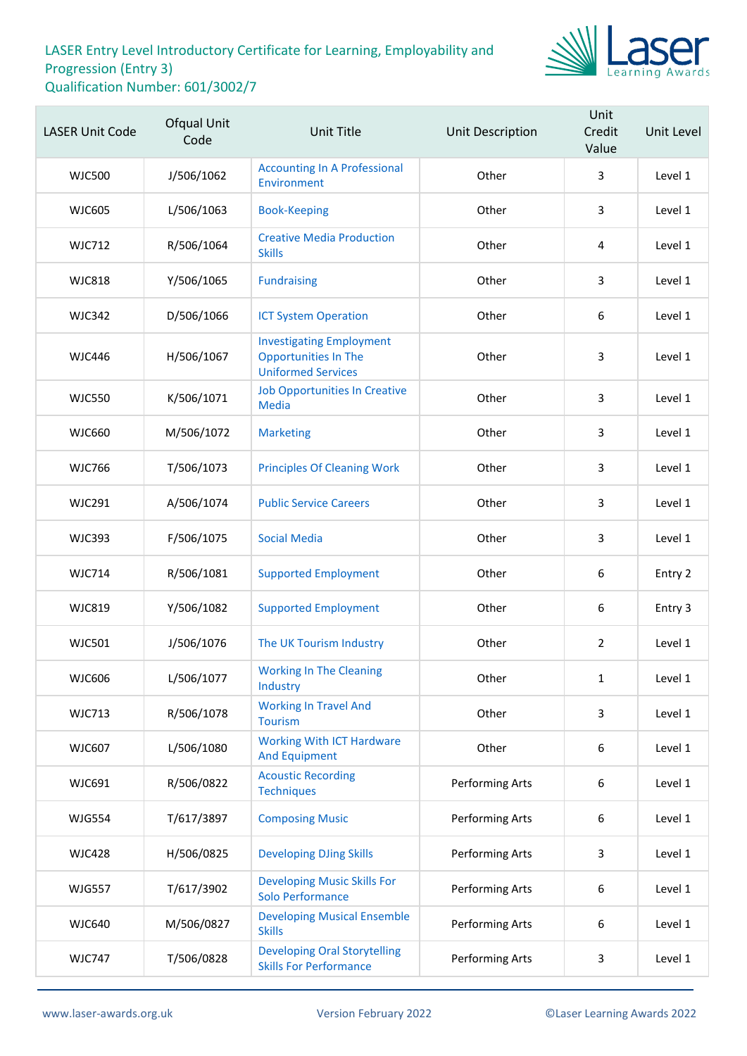

| <b>LASER Unit Code</b> | Ofqual Unit<br>Code | <b>Unit Title</b>                                                                           | <b>Unit Description</b> | Unit<br>Credit<br>Value | Unit Level |
|------------------------|---------------------|---------------------------------------------------------------------------------------------|-------------------------|-------------------------|------------|
| <b>WJC500</b>          | J/506/1062          | <b>Accounting In A Professional</b><br>Environment                                          | Other                   | 3                       | Level 1    |
| <b>WJC605</b>          | L/506/1063          | <b>Book-Keeping</b>                                                                         | Other                   | 3                       | Level 1    |
| <b>WJC712</b>          | R/506/1064          | <b>Creative Media Production</b><br><b>Skills</b>                                           | Other                   | 4                       | Level 1    |
| <b>WJC818</b>          | Y/506/1065          | <b>Fundraising</b>                                                                          | Other                   | 3                       | Level 1    |
| <b>WJC342</b>          | D/506/1066          | <b>ICT System Operation</b>                                                                 | Other                   | $\boldsymbol{6}$        | Level 1    |
| <b>WJC446</b>          | H/506/1067          | <b>Investigating Employment</b><br><b>Opportunities In The</b><br><b>Uniformed Services</b> | Other                   | 3                       | Level 1    |
| <b>WJC550</b>          | K/506/1071          | <b>Job Opportunities In Creative</b><br><b>Media</b>                                        | Other                   | 3                       | Level 1    |
| <b>WJC660</b>          | M/506/1072          | <b>Marketing</b>                                                                            | Other                   | 3                       | Level 1    |
| <b>WJC766</b>          | T/506/1073          | <b>Principles Of Cleaning Work</b>                                                          | Other                   | 3                       | Level 1    |
| <b>WJC291</b>          | A/506/1074          | <b>Public Service Careers</b>                                                               | Other                   | 3                       | Level 1    |
| <b>WJC393</b>          | F/506/1075          | <b>Social Media</b>                                                                         | Other                   | 3                       | Level 1    |
| <b>WJC714</b>          | R/506/1081          | <b>Supported Employment</b>                                                                 | Other                   | $\boldsymbol{6}$        | Entry 2    |
| <b>WJC819</b>          | Y/506/1082          | <b>Supported Employment</b>                                                                 | Other                   | $\boldsymbol{6}$        | Entry 3    |
| <b>WJC501</b>          | J/506/1076          | The UK Tourism Industry                                                                     | Other                   | $\overline{2}$          | Level 1    |
| <b>WJC606</b>          | L/506/1077          | <b>Working In The Cleaning</b><br>Industry                                                  | Other                   | $\mathbf{1}$            | Level 1    |
| <b>WJC713</b>          | R/506/1078          | <b>Working In Travel And</b><br><b>Tourism</b>                                              | Other                   | $\overline{3}$          | Level 1    |
| <b>WJC607</b>          | L/506/1080          | <b>Working With ICT Hardware</b><br><b>And Equipment</b>                                    | Other                   | 6                       | Level 1    |
| WJC691                 | R/506/0822          | <b>Acoustic Recording</b><br><b>Techniques</b>                                              | Performing Arts         | 6                       | Level 1    |
| <b>WJG554</b>          | T/617/3897          | <b>Composing Music</b>                                                                      | Performing Arts         | $\boldsymbol{6}$        | Level 1    |
| <b>WJC428</b>          | H/506/0825          | <b>Developing DJing Skills</b>                                                              | Performing Arts         | 3                       | Level 1    |
| <b>WJG557</b>          | T/617/3902          | <b>Developing Music Skills For</b><br><b>Solo Performance</b>                               | Performing Arts         | 6                       | Level 1    |
| <b>WJC640</b>          | M/506/0827          | <b>Developing Musical Ensemble</b><br><b>Skills</b>                                         | Performing Arts         | $\boldsymbol{6}$        | Level 1    |
| <b>WJC747</b>          | T/506/0828          | <b>Developing Oral Storytelling</b><br><b>Skills For Performance</b>                        | Performing Arts         | 3                       | Level 1    |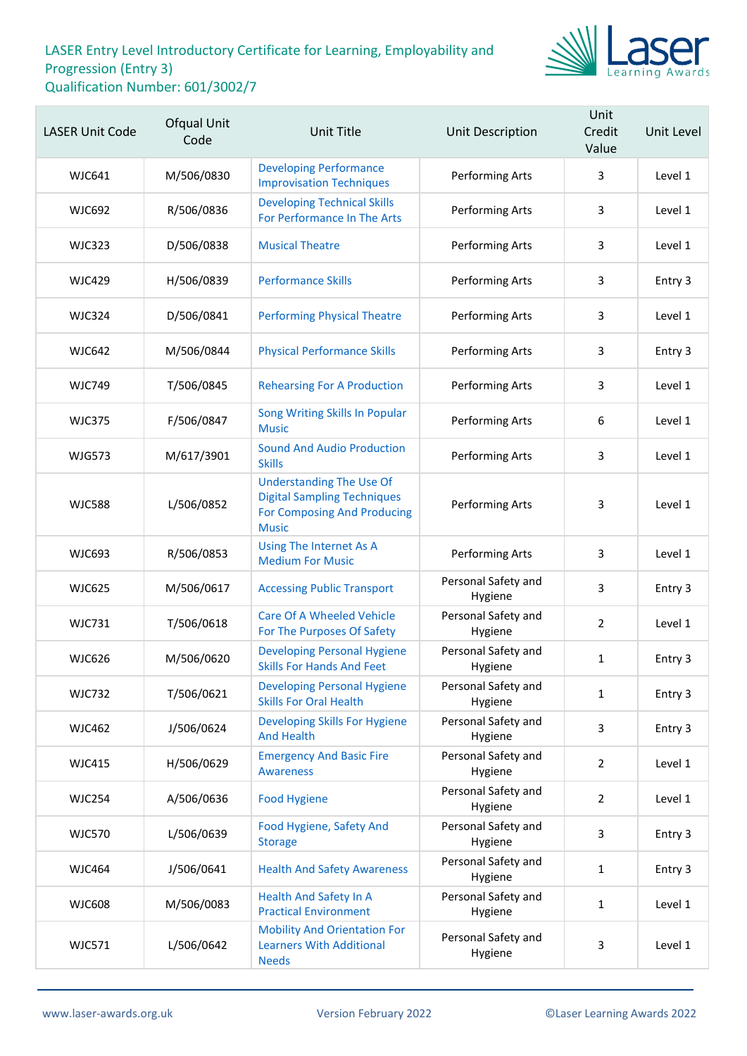

| <b>LASER Unit Code</b> | Ofqual Unit<br>Code | <b>Unit Title</b>                                                                                                           | Unit Description               | Unit<br>Credit<br>Value | Unit Level |
|------------------------|---------------------|-----------------------------------------------------------------------------------------------------------------------------|--------------------------------|-------------------------|------------|
| <b>WJC641</b>          | M/506/0830          | <b>Developing Performance</b><br><b>Improvisation Techniques</b>                                                            | Performing Arts                | 3                       | Level 1    |
| <b>WJC692</b>          | R/506/0836          | <b>Developing Technical Skills</b><br>For Performance In The Arts                                                           | Performing Arts                | 3                       | Level 1    |
| <b>WJC323</b>          | D/506/0838          | <b>Musical Theatre</b>                                                                                                      | Performing Arts                | 3                       | Level 1    |
| <b>WJC429</b>          | H/506/0839          | <b>Performance Skills</b>                                                                                                   | Performing Arts                | 3                       | Entry 3    |
| <b>WJC324</b>          | D/506/0841          | <b>Performing Physical Theatre</b>                                                                                          | Performing Arts                | 3                       | Level 1    |
| <b>WJC642</b>          | M/506/0844          | <b>Physical Performance Skills</b>                                                                                          | Performing Arts                | 3                       | Entry 3    |
| <b>WJC749</b>          | T/506/0845          | <b>Rehearsing For A Production</b>                                                                                          | Performing Arts                | 3                       | Level 1    |
| <b>WJC375</b>          | F/506/0847          | Song Writing Skills In Popular<br><b>Music</b>                                                                              | Performing Arts                | 6                       | Level 1    |
| <b>WJG573</b>          | M/617/3901          | <b>Sound And Audio Production</b><br><b>Skills</b>                                                                          | Performing Arts                | 3                       | Level 1    |
| <b>WJC588</b>          | L/506/0852          | <b>Understanding The Use Of</b><br><b>Digital Sampling Techniques</b><br><b>For Composing And Producing</b><br><b>Music</b> | Performing Arts                | 3                       | Level 1    |
| <b>WJC693</b>          | R/506/0853          | Using The Internet As A<br><b>Medium For Music</b>                                                                          | Performing Arts                | 3                       | Level 1    |
| <b>WJC625</b>          | M/506/0617          | <b>Accessing Public Transport</b>                                                                                           | Personal Safety and<br>Hygiene | 3                       | Entry 3    |
| <b>WJC731</b>          | T/506/0618          | <b>Care Of A Wheeled Vehicle</b><br>For The Purposes Of Safety                                                              | Personal Safety and<br>Hygiene | $\overline{2}$          | Level 1    |
| <b>WJC626</b>          | M/506/0620          | <b>Developing Personal Hygiene</b><br><b>Skills For Hands And Feet</b>                                                      | Personal Safety and<br>Hygiene | $\mathbf{1}$            | Entry 3    |
| <b>WJC732</b>          | T/506/0621          | <b>Developing Personal Hygiene</b><br><b>Skills For Oral Health</b>                                                         | Personal Safety and<br>Hygiene | $\mathbf{1}$            | Entry 3    |
| <b>WJC462</b>          | J/506/0624          | <b>Developing Skills For Hygiene</b><br><b>And Health</b>                                                                   | Personal Safety and<br>Hygiene | 3                       | Entry 3    |
| <b>WJC415</b>          | H/506/0629          | <b>Emergency And Basic Fire</b><br><b>Awareness</b>                                                                         | Personal Safety and<br>Hygiene | 2                       | Level 1    |
| <b>WJC254</b>          | A/506/0636          | <b>Food Hygiene</b>                                                                                                         | Personal Safety and<br>Hygiene | $\overline{2}$          | Level 1    |
| <b>WJC570</b>          | L/506/0639          | Food Hygiene, Safety And<br><b>Storage</b>                                                                                  | Personal Safety and<br>Hygiene | $\overline{3}$          | Entry 3    |
| <b>WJC464</b>          | J/506/0641          | <b>Health And Safety Awareness</b>                                                                                          | Personal Safety and<br>Hygiene | 1                       | Entry 3    |
| <b>WJC608</b>          | M/506/0083          | <b>Health And Safety In A</b><br><b>Practical Environment</b>                                                               | Personal Safety and<br>Hygiene | $\mathbf{1}$            | Level 1    |
| <b>WJC571</b>          | L/506/0642          | <b>Mobility And Orientation For</b><br><b>Learners With Additional</b><br><b>Needs</b>                                      | Personal Safety and<br>Hygiene | 3                       | Level 1    |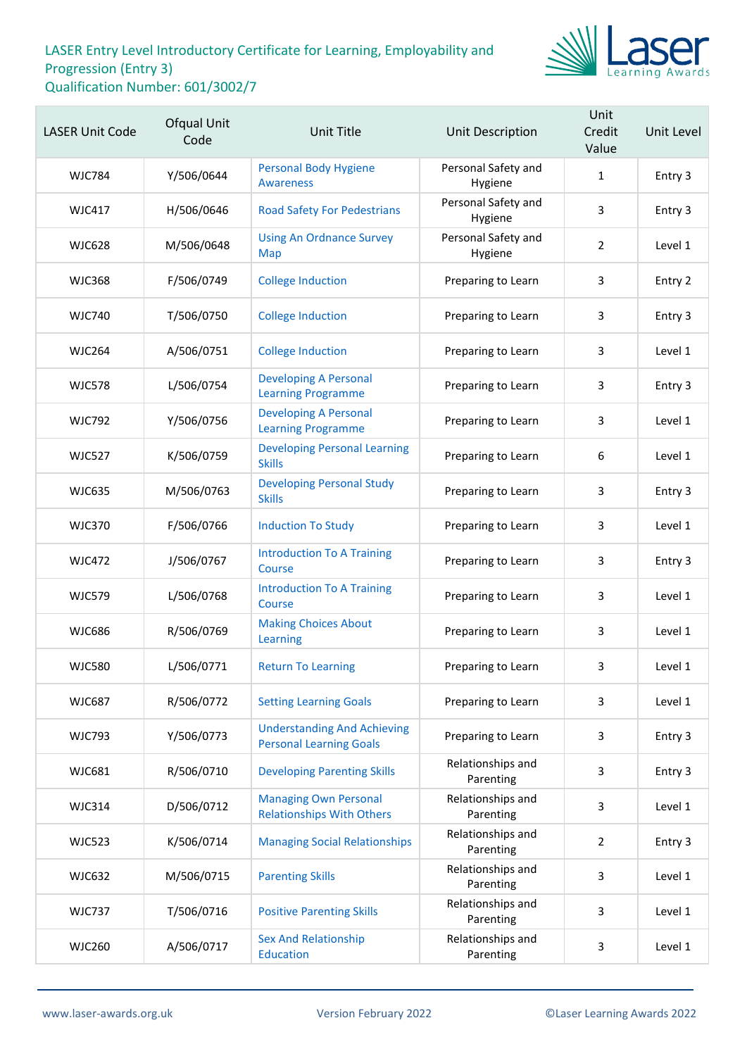

| <b>LASER Unit Code</b> | Ofqual Unit<br>Code | <b>Unit Title</b>                                                    | Unit Description               | Unit<br>Credit<br>Value | Unit Level |
|------------------------|---------------------|----------------------------------------------------------------------|--------------------------------|-------------------------|------------|
| WJC784                 | Y/506/0644          | <b>Personal Body Hygiene</b><br><b>Awareness</b>                     | Personal Safety and<br>Hygiene | $\mathbf{1}$            | Entry 3    |
| <b>WJC417</b>          | H/506/0646          | <b>Road Safety For Pedestrians</b>                                   | Personal Safety and<br>Hygiene | 3                       | Entry 3    |
| <b>WJC628</b>          | M/506/0648          | <b>Using An Ordnance Survey</b><br>Map                               | Personal Safety and<br>Hygiene | $\overline{2}$          | Level 1    |
| <b>WJC368</b>          | F/506/0749          | <b>College Induction</b>                                             | Preparing to Learn             | 3                       | Entry 2    |
| <b>WJC740</b>          | T/506/0750          | <b>College Induction</b>                                             | Preparing to Learn             | 3                       | Entry 3    |
| <b>WJC264</b>          | A/506/0751          | <b>College Induction</b>                                             | Preparing to Learn             | 3                       | Level 1    |
| <b>WJC578</b>          | L/506/0754          | <b>Developing A Personal</b><br><b>Learning Programme</b>            | Preparing to Learn             | 3                       | Entry 3    |
| <b>WJC792</b>          | Y/506/0756          | <b>Developing A Personal</b><br><b>Learning Programme</b>            | Preparing to Learn             | 3                       | Level 1    |
| <b>WJC527</b>          | K/506/0759          | <b>Developing Personal Learning</b><br><b>Skills</b>                 | Preparing to Learn             | 6                       | Level 1    |
| <b>WJC635</b>          | M/506/0763          | <b>Developing Personal Study</b><br><b>Skills</b>                    | Preparing to Learn             | 3                       | Entry 3    |
| <b>WJC370</b>          | F/506/0766          | <b>Induction To Study</b>                                            | Preparing to Learn             | 3                       | Level 1    |
| <b>WJC472</b>          | J/506/0767          | <b>Introduction To A Training</b><br>Course                          | Preparing to Learn             | 3                       | Entry 3    |
| <b>WJC579</b>          | L/506/0768          | <b>Introduction To A Training</b><br>Course                          | Preparing to Learn             | 3                       | Level 1    |
| <b>WJC686</b>          | R/506/0769          | <b>Making Choices About</b><br>Learning                              | Preparing to Learn             | 3                       | Level 1    |
| <b>WJC580</b>          | L/506/0771          | <b>Return To Learning</b>                                            | Preparing to Learn             | 3                       | Level 1    |
| <b>WJC687</b>          | R/506/0772          | <b>Setting Learning Goals</b>                                        | Preparing to Learn             | 3                       | Level 1    |
| <b>WJC793</b>          | Y/506/0773          | <b>Understanding And Achieving</b><br><b>Personal Learning Goals</b> | Preparing to Learn             | 3                       | Entry 3    |
| <b>WJC681</b>          | R/506/0710          | <b>Developing Parenting Skills</b>                                   | Relationships and<br>Parenting | 3                       | Entry 3    |
| <b>WJC314</b>          | D/506/0712          | <b>Managing Own Personal</b><br><b>Relationships With Others</b>     | Relationships and<br>Parenting | 3                       | Level 1    |
| <b>WJC523</b>          | K/506/0714          | <b>Managing Social Relationships</b>                                 | Relationships and<br>Parenting | $\overline{2}$          | Entry 3    |
| <b>WJC632</b>          | M/506/0715          | <b>Parenting Skills</b>                                              | Relationships and<br>Parenting | 3                       | Level 1    |
| <b>WJC737</b>          | T/506/0716          | <b>Positive Parenting Skills</b>                                     | Relationships and<br>Parenting | 3                       | Level 1    |
| <b>WJC260</b>          | A/506/0717          | <b>Sex And Relationship</b><br>Education                             | Relationships and<br>Parenting | 3                       | Level 1    |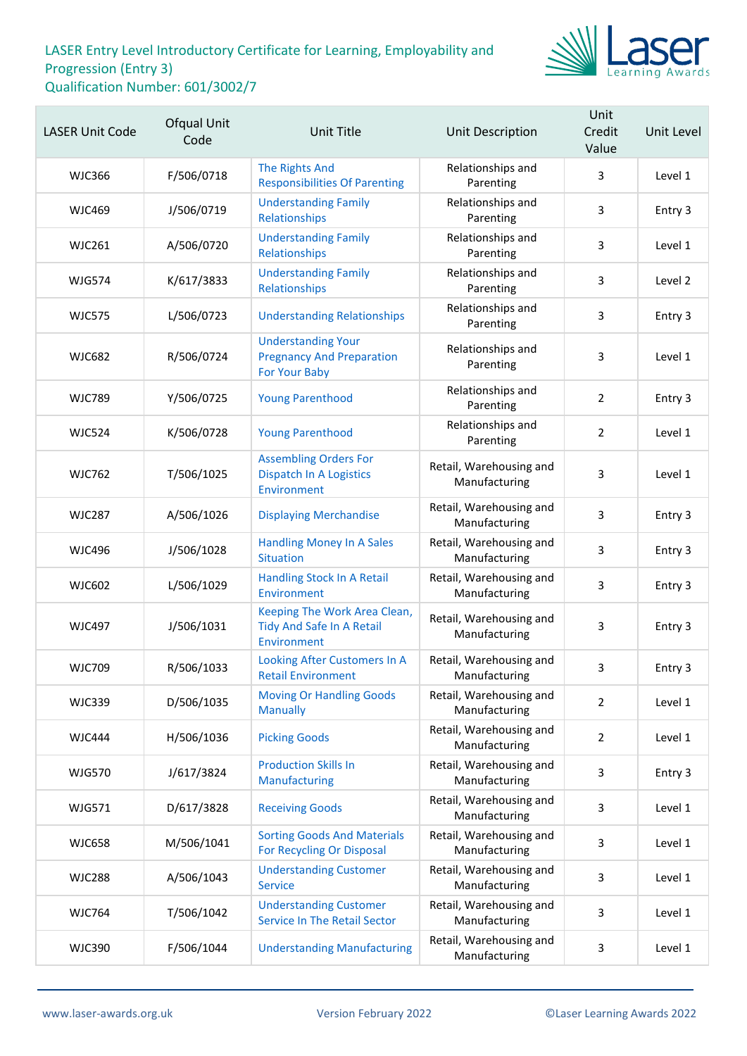

| <b>LASER Unit Code</b> | Ofqual Unit<br>Code | <b>Unit Title</b>                                                               | Unit Description                         | Unit<br>Credit<br>Value | Unit Level |
|------------------------|---------------------|---------------------------------------------------------------------------------|------------------------------------------|-------------------------|------------|
| <b>WJC366</b>          | F/506/0718          | <b>The Rights And</b><br><b>Responsibilities Of Parenting</b>                   | Relationships and<br>Parenting           | 3                       | Level 1    |
| <b>WJC469</b>          | J/506/0719          | <b>Understanding Family</b><br>Relationships                                    | Relationships and<br>Parenting           | 3                       | Entry 3    |
| <b>WJC261</b>          | A/506/0720          | <b>Understanding Family</b><br>Relationships                                    | Relationships and<br>Parenting           | 3                       | Level 1    |
| <b>WJG574</b>          | K/617/3833          | <b>Understanding Family</b><br>Relationships                                    | Relationships and<br>Parenting           | 3                       | Level 2    |
| <b>WJC575</b>          | L/506/0723          | <b>Understanding Relationships</b>                                              | Relationships and<br>Parenting           | 3                       | Entry 3    |
| <b>WJC682</b>          | R/506/0724          | <b>Understanding Your</b><br><b>Pregnancy And Preparation</b><br>For Your Baby  | Relationships and<br>Parenting           | 3                       | Level 1    |
| <b>WJC789</b>          | Y/506/0725          | <b>Young Parenthood</b>                                                         | Relationships and<br>Parenting           | $\overline{2}$          | Entry 3    |
| <b>WJC524</b>          | K/506/0728          | <b>Young Parenthood</b>                                                         | Relationships and<br>Parenting           | $\overline{2}$          | Level 1    |
| <b>WJC762</b>          | T/506/1025          | <b>Assembling Orders For</b><br><b>Dispatch In A Logistics</b><br>Environment   | Retail, Warehousing and<br>Manufacturing | 3                       | Level 1    |
| <b>WJC287</b>          | A/506/1026          | <b>Displaying Merchandise</b>                                                   | Retail, Warehousing and<br>Manufacturing | 3                       | Entry 3    |
| <b>WJC496</b>          | J/506/1028          | <b>Handling Money In A Sales</b><br><b>Situation</b>                            | Retail, Warehousing and<br>Manufacturing | 3                       | Entry 3    |
| WJC602                 | L/506/1029          | Handling Stock In A Retail<br>Environment                                       | Retail, Warehousing and<br>Manufacturing | 3                       | Entry 3    |
| <b>WJC497</b>          | J/506/1031          | Keeping The Work Area Clean,<br><b>Tidy And Safe In A Retail</b><br>Environment | Retail, Warehousing and<br>Manufacturing | 3                       | Entry 3    |
| <b>WJC709</b>          | R/506/1033          | Looking After Customers In A<br><b>Retail Environment</b>                       | Retail, Warehousing and<br>Manufacturing | 3                       | Entry 3    |
| <b>WJC339</b>          | D/506/1035          | <b>Moving Or Handling Goods</b><br><b>Manually</b>                              | Retail, Warehousing and<br>Manufacturing | $\overline{2}$          | Level 1    |
| <b>WJC444</b>          | H/506/1036          | <b>Picking Goods</b>                                                            | Retail, Warehousing and<br>Manufacturing | $\overline{2}$          | Level 1    |
| <b>WJG570</b>          | J/617/3824          | <b>Production Skills In</b><br>Manufacturing                                    | Retail, Warehousing and<br>Manufacturing | 3                       | Entry 3    |
| WJG571                 | D/617/3828          | <b>Receiving Goods</b>                                                          | Retail, Warehousing and<br>Manufacturing | 3                       | Level 1    |
| <b>WJC658</b>          | M/506/1041          | <b>Sorting Goods And Materials</b><br>For Recycling Or Disposal                 | Retail, Warehousing and<br>Manufacturing | 3                       | Level 1    |
| <b>WJC288</b>          | A/506/1043          | <b>Understanding Customer</b><br><b>Service</b>                                 | Retail, Warehousing and<br>Manufacturing | 3                       | Level 1    |
| <b>WJC764</b>          | T/506/1042          | <b>Understanding Customer</b><br><b>Service In The Retail Sector</b>            | Retail, Warehousing and<br>Manufacturing | 3                       | Level 1    |
| <b>WJC390</b>          | F/506/1044          | <b>Understanding Manufacturing</b>                                              | Retail, Warehousing and<br>Manufacturing | 3                       | Level 1    |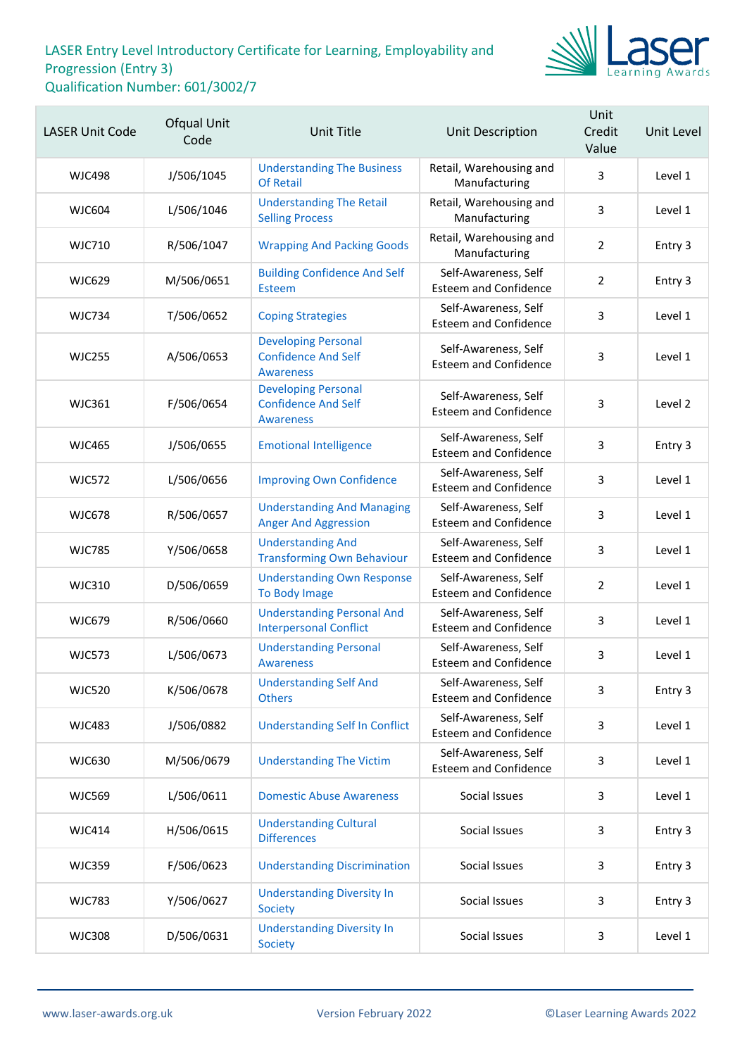

| <b>LASER Unit Code</b> | Ofqual Unit<br>Code | Unit Title                                                                   | Unit Description                                     | Unit<br>Credit<br>Value | Unit Level |
|------------------------|---------------------|------------------------------------------------------------------------------|------------------------------------------------------|-------------------------|------------|
| <b>WJC498</b>          | J/506/1045          | <b>Understanding The Business</b><br><b>Of Retail</b>                        | Retail, Warehousing and<br>Manufacturing             | $\overline{3}$          | Level 1    |
| <b>WJC604</b>          | L/506/1046          | <b>Understanding The Retail</b><br><b>Selling Process</b>                    | Retail, Warehousing and<br>Manufacturing             | 3                       | Level 1    |
| <b>WJC710</b>          | R/506/1047          | <b>Wrapping And Packing Goods</b>                                            | Retail, Warehousing and<br>Manufacturing             | $\overline{2}$          | Entry 3    |
| <b>WJC629</b>          | M/506/0651          | <b>Building Confidence And Self</b><br>Esteem                                | Self-Awareness, Self<br><b>Esteem and Confidence</b> | $\overline{2}$          | Entry 3    |
| <b>WJC734</b>          | T/506/0652          | <b>Coping Strategies</b>                                                     | Self-Awareness, Self<br><b>Esteem and Confidence</b> | 3                       | Level 1    |
| <b>WJC255</b>          | A/506/0653          | <b>Developing Personal</b><br><b>Confidence And Self</b><br><b>Awareness</b> | Self-Awareness, Self<br><b>Esteem and Confidence</b> | 3                       | Level 1    |
| <b>WJC361</b>          | F/506/0654          | <b>Developing Personal</b><br><b>Confidence And Self</b><br><b>Awareness</b> | Self-Awareness, Self<br><b>Esteem and Confidence</b> | 3                       | Level 2    |
| <b>WJC465</b>          | J/506/0655          | <b>Emotional Intelligence</b>                                                | Self-Awareness, Self<br><b>Esteem and Confidence</b> | 3                       | Entry 3    |
| <b>WJC572</b>          | L/506/0656          | <b>Improving Own Confidence</b>                                              | Self-Awareness, Self<br><b>Esteem and Confidence</b> | 3                       | Level 1    |
| <b>WJC678</b>          | R/506/0657          | <b>Understanding And Managing</b><br><b>Anger And Aggression</b>             | Self-Awareness, Self<br><b>Esteem and Confidence</b> | 3                       | Level 1    |
| <b>WJC785</b>          | Y/506/0658          | <b>Understanding And</b><br><b>Transforming Own Behaviour</b>                | Self-Awareness, Self<br><b>Esteem and Confidence</b> | 3                       | Level 1    |
| <b>WJC310</b>          | D/506/0659          | <b>Understanding Own Response</b><br>To Body Image                           | Self-Awareness, Self<br><b>Esteem and Confidence</b> | $\overline{2}$          | Level 1    |
| <b>WJC679</b>          | R/506/0660          | <b>Understanding Personal And</b><br><b>Interpersonal Conflict</b>           | Self-Awareness, Self<br><b>Esteem and Confidence</b> | 3                       | Level 1    |
| <b>WJC573</b>          | L/506/0673          | <b>Understanding Personal</b><br><b>Awareness</b>                            | Self-Awareness, Self<br><b>Esteem and Confidence</b> | 3                       | Level 1    |
| <b>WJC520</b>          | K/506/0678          | <b>Understanding Self And</b><br><b>Others</b>                               | Self-Awareness, Self<br><b>Esteem and Confidence</b> | 3                       | Entry 3    |
| <b>WJC483</b>          | J/506/0882          | <b>Understanding Self In Conflict</b>                                        | Self-Awareness, Self<br><b>Esteem and Confidence</b> | 3                       | Level 1    |
| <b>WJC630</b>          | M/506/0679          | <b>Understanding The Victim</b>                                              | Self-Awareness, Self<br><b>Esteem and Confidence</b> | 3                       | Level 1    |
| <b>WJC569</b>          | L/506/0611          | <b>Domestic Abuse Awareness</b>                                              | Social Issues                                        | 3                       | Level 1    |
| <b>WJC414</b>          | H/506/0615          | <b>Understanding Cultural</b><br><b>Differences</b>                          | Social Issues                                        | 3                       | Entry 3    |
| <b>WJC359</b>          | F/506/0623          | <b>Understanding Discrimination</b>                                          | Social Issues                                        | 3                       | Entry 3    |
| <b>WJC783</b>          | Y/506/0627          | <b>Understanding Diversity In</b><br>Society                                 | Social Issues                                        | 3                       | Entry 3    |
| <b>WJC308</b>          | D/506/0631          | <b>Understanding Diversity In</b><br>Society                                 | Social Issues                                        | 3                       | Level 1    |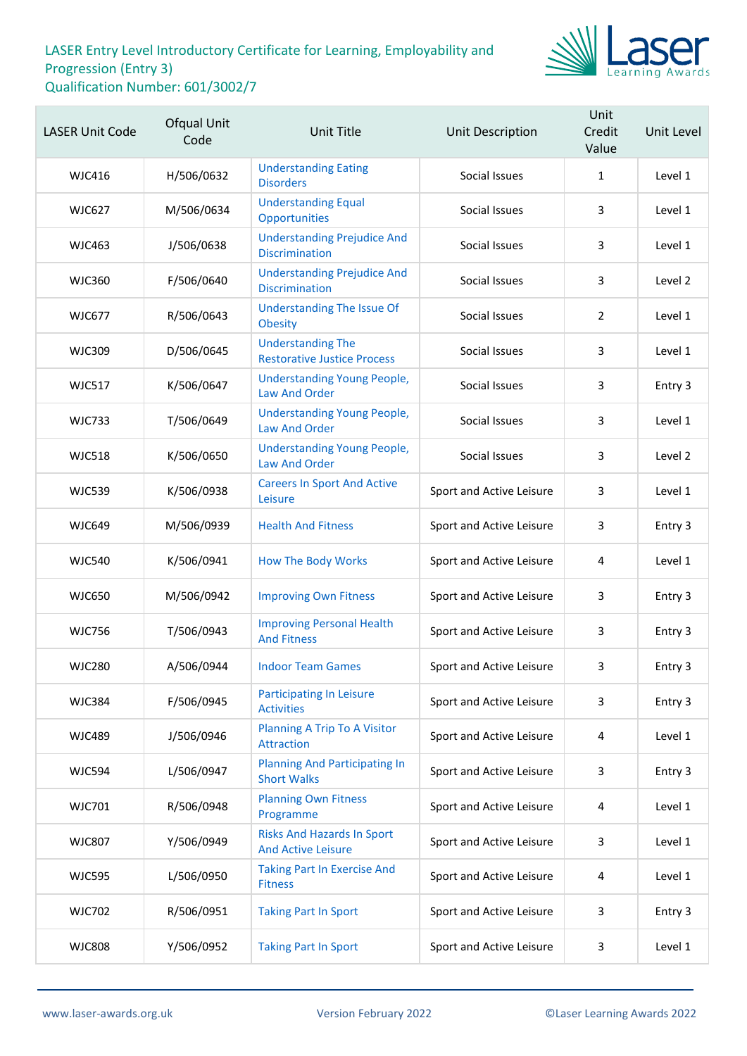

| <b>LASER Unit Code</b> | Ofqual Unit<br>Code | <b>Unit Title</b>                                              | Unit Description         | Unit<br>Credit<br>Value | Unit Level |
|------------------------|---------------------|----------------------------------------------------------------|--------------------------|-------------------------|------------|
| <b>WJC416</b>          | H/506/0632          | <b>Understanding Eating</b><br><b>Disorders</b>                | Social Issues            | $\mathbf{1}$            | Level 1    |
| <b>WJC627</b>          | M/506/0634          | <b>Understanding Equal</b><br>Opportunities                    | Social Issues            | 3                       | Level 1    |
| <b>WJC463</b>          | J/506/0638          | <b>Understanding Prejudice And</b><br><b>Discrimination</b>    | Social Issues            | 3                       | Level 1    |
| <b>WJC360</b>          | F/506/0640          | <b>Understanding Prejudice And</b><br><b>Discrimination</b>    | Social Issues            | 3                       | Level 2    |
| <b>WJC677</b>          | R/506/0643          | <b>Understanding The Issue Of</b><br>Obesity                   | Social Issues            | $\overline{2}$          | Level 1    |
| <b>WJC309</b>          | D/506/0645          | <b>Understanding The</b><br><b>Restorative Justice Process</b> | Social Issues            | 3                       | Level 1    |
| <b>WJC517</b>          | K/506/0647          | <b>Understanding Young People,</b><br><b>Law And Order</b>     | Social Issues            | 3                       | Entry 3    |
| <b>WJC733</b>          | T/506/0649          | <b>Understanding Young People,</b><br><b>Law And Order</b>     | Social Issues            | 3                       | Level 1    |
| <b>WJC518</b>          | K/506/0650          | <b>Understanding Young People,</b><br><b>Law And Order</b>     | Social Issues            | 3                       | Level 2    |
| <b>WJC539</b>          | K/506/0938          | <b>Careers In Sport And Active</b><br>Leisure                  | Sport and Active Leisure | 3                       | Level 1    |
| <b>WJC649</b>          | M/506/0939          | <b>Health And Fitness</b>                                      | Sport and Active Leisure | 3                       | Entry 3    |
| <b>WJC540</b>          | K/506/0941          | <b>How The Body Works</b>                                      | Sport and Active Leisure | 4                       | Level 1    |
| <b>WJC650</b>          | M/506/0942          | <b>Improving Own Fitness</b>                                   | Sport and Active Leisure | 3                       | Entry 3    |
| <b>WJC756</b>          | T/506/0943          | <b>Improving Personal Health</b><br><b>And Fitness</b>         | Sport and Active Leisure | 3                       | Entry 3    |
| <b>WJC280</b>          | A/506/0944          | <b>Indoor Team Games</b>                                       | Sport and Active Leisure | 3                       | Entry 3    |
| <b>WJC384</b>          | F/506/0945          | <b>Participating In Leisure</b><br><b>Activities</b>           | Sport and Active Leisure | 3                       | Entry 3    |
| <b>WJC489</b>          | J/506/0946          | Planning A Trip To A Visitor<br><b>Attraction</b>              | Sport and Active Leisure | 4                       | Level 1    |
| <b>WJC594</b>          | L/506/0947          | <b>Planning And Participating In</b><br><b>Short Walks</b>     | Sport and Active Leisure | 3                       | Entry 3    |
| <b>WJC701</b>          | R/506/0948          | <b>Planning Own Fitness</b><br>Programme                       | Sport and Active Leisure | 4                       | Level 1    |
| <b>WJC807</b>          | Y/506/0949          | <b>Risks And Hazards In Sport</b><br><b>And Active Leisure</b> | Sport and Active Leisure | 3                       | Level 1    |
| <b>WJC595</b>          | L/506/0950          | <b>Taking Part In Exercise And</b><br><b>Fitness</b>           | Sport and Active Leisure | 4                       | Level 1    |
| <b>WJC702</b>          | R/506/0951          | <b>Taking Part In Sport</b>                                    | Sport and Active Leisure | 3                       | Entry 3    |
| <b>WJC808</b>          | Y/506/0952          | <b>Taking Part In Sport</b>                                    | Sport and Active Leisure | 3                       | Level 1    |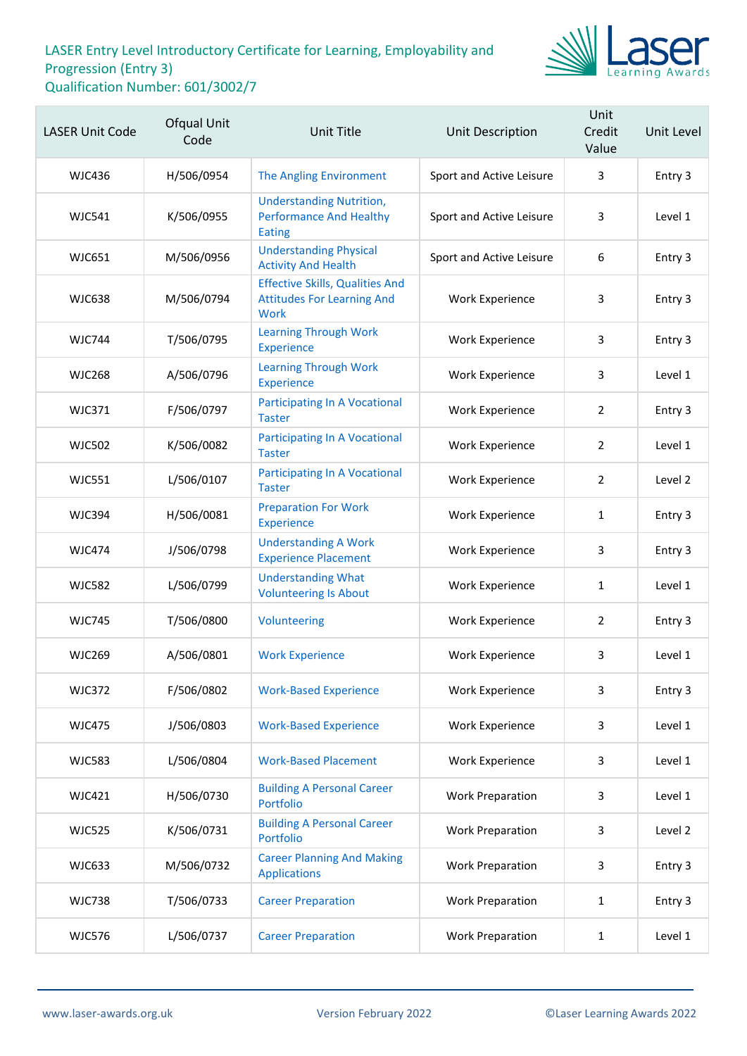

| <b>LASER Unit Code</b> | Ofqual Unit<br>Code | <b>Unit Title</b>                                                                   | Unit Description         | Unit<br>Credit<br>Value | Unit Level |
|------------------------|---------------------|-------------------------------------------------------------------------------------|--------------------------|-------------------------|------------|
| <b>WJC436</b>          | H/506/0954          | The Angling Environment                                                             | Sport and Active Leisure | 3                       | Entry 3    |
| <b>WJC541</b>          | K/506/0955          | <b>Understanding Nutrition,</b><br><b>Performance And Healthy</b><br><b>Eating</b>  | Sport and Active Leisure | 3                       | Level 1    |
| <b>WJC651</b>          | M/506/0956          | <b>Understanding Physical</b><br><b>Activity And Health</b>                         | Sport and Active Leisure | 6                       | Entry 3    |
| <b>WJC638</b>          | M/506/0794          | <b>Effective Skills, Qualities And</b><br><b>Attitudes For Learning And</b><br>Work | Work Experience          | 3                       | Entry 3    |
| <b>WJC744</b>          | T/506/0795          | <b>Learning Through Work</b><br><b>Experience</b>                                   | Work Experience          | 3                       | Entry 3    |
| <b>WJC268</b>          | A/506/0796          | <b>Learning Through Work</b><br><b>Experience</b>                                   | Work Experience          | 3                       | Level 1    |
| <b>WJC371</b>          | F/506/0797          | <b>Participating In A Vocational</b><br><b>Taster</b>                               | <b>Work Experience</b>   | $\overline{2}$          | Entry 3    |
| <b>WJC502</b>          | K/506/0082          | <b>Participating In A Vocational</b><br><b>Taster</b>                               | Work Experience          | $\overline{2}$          | Level 1    |
| <b>WJC551</b>          | L/506/0107          | <b>Participating In A Vocational</b><br><b>Taster</b>                               | Work Experience          | $\overline{2}$          | Level 2    |
| <b>WJC394</b>          | H/506/0081          | <b>Preparation For Work</b><br><b>Experience</b>                                    | <b>Work Experience</b>   | 1                       | Entry 3    |
| <b>WJC474</b>          | J/506/0798          | <b>Understanding A Work</b><br><b>Experience Placement</b>                          | <b>Work Experience</b>   | 3                       | Entry 3    |
| <b>WJC582</b>          | L/506/0799          | <b>Understanding What</b><br><b>Volunteering Is About</b>                           | Work Experience          | 1                       | Level 1    |
| <b>WJC745</b>          | T/506/0800          | Volunteering                                                                        | <b>Work Experience</b>   | $\overline{2}$          | Entry 3    |
| <b>WJC269</b>          | A/506/0801          | <b>Work Experience</b>                                                              | Work Experience          | 3                       | Level 1    |
| <b>WJC372</b>          | F/506/0802          | <b>Work-Based Experience</b>                                                        | <b>Work Experience</b>   | 3                       | Entry 3    |
| <b>WJC475</b>          | J/506/0803          | <b>Work-Based Experience</b>                                                        | <b>Work Experience</b>   | 3                       | Level 1    |
| <b>WJC583</b>          | L/506/0804          | <b>Work-Based Placement</b>                                                         | <b>Work Experience</b>   | 3                       | Level 1    |
| WJC421                 | H/506/0730          | <b>Building A Personal Career</b><br>Portfolio                                      | <b>Work Preparation</b>  | 3                       | Level 1    |
| <b>WJC525</b>          | K/506/0731          | <b>Building A Personal Career</b><br>Portfolio                                      | <b>Work Preparation</b>  | 3                       | Level 2    |
| <b>WJC633</b>          | M/506/0732          | <b>Career Planning And Making</b><br><b>Applications</b>                            | <b>Work Preparation</b>  | 3                       | Entry 3    |
| <b>WJC738</b>          | T/506/0733          | <b>Career Preparation</b>                                                           | <b>Work Preparation</b>  | $\mathbf{1}$            | Entry 3    |
| <b>WJC576</b>          | L/506/0737          | <b>Career Preparation</b>                                                           | <b>Work Preparation</b>  | $\mathbf{1}$            | Level 1    |